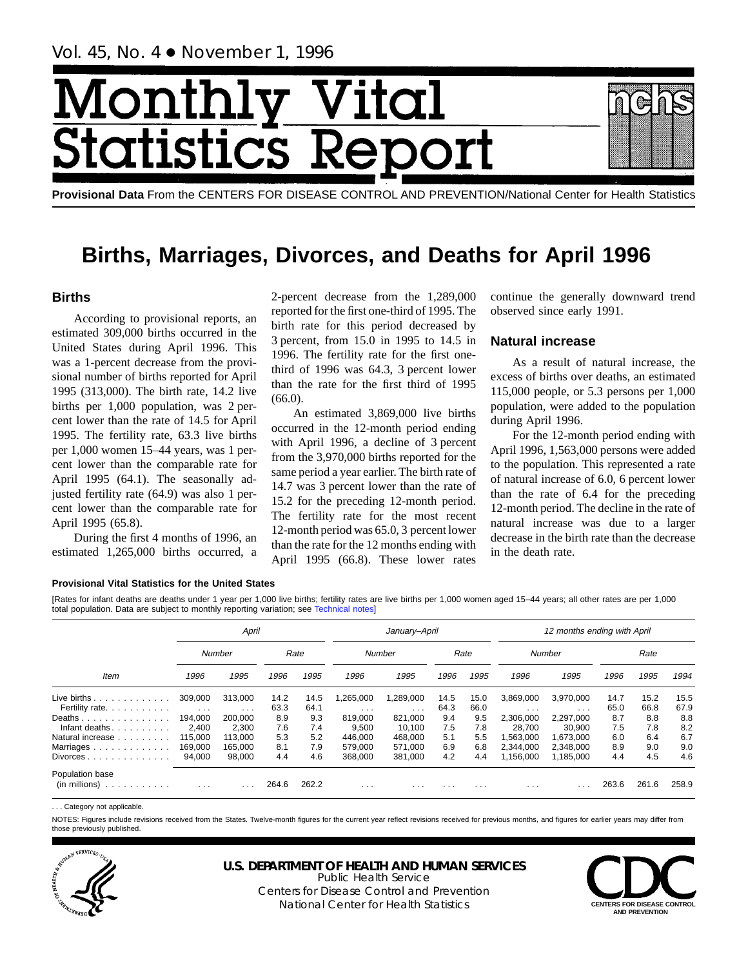# Month Vital tics R tatist

**Provisional Data** From the CENTERS FOR DISEASE CONTROL AND PREVENTION/National Center for Health Statistics

# **Births, Marriages, Divorces, and Deaths for April 1996**

# **Births**

According to provisional reports, an estimated 309,000 births occurred in the United States during April 1996. This was a 1-percent decrease from the provisional number of births reported for April 1995 (313,000). The birth rate, 14.2 live births per 1,000 population, was 2 percent lower than the rate of 14.5 for April 1995. The fertility rate, 63.3 live births per 1,000 women 15–44 years, was 1 percent lower than the comparable rate for April 1995 (64.1). The seasonally adjusted fertility rate (64.9) was also 1 percent lower than the comparable rate for April 1995 (65.8).

During the first 4 months of 1996, an estimated 1,265,000 births occurred, a

2-percent decrease from the 1,289,000 reported for the first one-third of 1995. The birth rate for this period decreased by 3 percent, from 15.0 in 1995 to 14.5 in 1996. The fertility rate for the first onethird of 1996 was 64.3, 3 percent lower than the rate for the first third of 1995  $(66.0).$ 

An estimated 3,869,000 live births occurred in the 12-month period ending with April 1996, a decline of 3 percent from the 3,970,000 births reported for the same period a year earlier. The birth rate of 14.7 was 3 percent lower than the rate of 15.2 for the preceding 12-month period. The fertility rate for the most recent 12-month period was 65.0, 3 percent lower than the rate for the 12 months ending with April 1995 (66.8). These lower rates

continue the generally downward trend observed since early 1991.

# **Natural increase**

As a result of natural increase, the excess of births over deaths, an estimated 115,000 people, or 5.3 persons per 1,000 population, were added to the population during April 1996.

For the 12-month period ending with April 1996, 1,563,000 persons were added to the population. This represented a rate of natural increase of 6.0, 6 percent lower than the rate of 6.4 for the preceding 12-month period. The decline in the rate of natural increase was due to a larger decrease in the birth rate than the decrease in the death rate.

### **Provisional Vital Statistics for the United States**

[Rates for infant deaths are deaths under 1 year per 1,000 live births; fertility rates are live births per 1,000 women aged 15–44 years; all other rates are per 1,000 total population. Data are subject to monthly reporting variation; see [Technical notes](#page-16-0)]

|                                                                                                                                                                                                                                                                                                                                                                                                                                                                                                     |                         | April                   |       |       |          | January-April           |          |                         |           | 12 months ending with April |       |       |       |
|-----------------------------------------------------------------------------------------------------------------------------------------------------------------------------------------------------------------------------------------------------------------------------------------------------------------------------------------------------------------------------------------------------------------------------------------------------------------------------------------------------|-------------------------|-------------------------|-------|-------|----------|-------------------------|----------|-------------------------|-----------|-----------------------------|-------|-------|-------|
|                                                                                                                                                                                                                                                                                                                                                                                                                                                                                                     |                         | Number                  |       | Rate  |          | Number                  |          | Rate                    |           | Number                      |       | Rate  |       |
| Item                                                                                                                                                                                                                                                                                                                                                                                                                                                                                                | 1996                    | 1995                    | 1996  | 1995  | 1996     | 1995                    | 1996     | 1995                    | 1996      | 1995                        | 1996  | 1995  | 1994  |
| Live births $\ldots$                                                                                                                                                                                                                                                                                                                                                                                                                                                                                | 309,000                 | 313.000                 | 14.2  | 14.5  | .265.000 | 1,289,000               | 14.5     | 15.0                    | 3,869,000 | 3.970.000                   | 14.7  | 15.2  | 15.5  |
| Fertility rate.                                                                                                                                                                                                                                                                                                                                                                                                                                                                                     | $\sim$ $\sim$ $\sim$    | $\cdots$                | 63.3  | 64.1  | $\cdots$ | $\cdots$                | 64.3     | 66.0                    | $\cdots$  | $\cdot$ $\cdot$ $\cdot$     | 65.0  | 66.8  | 67.9  |
| Deaths                                                                                                                                                                                                                                                                                                                                                                                                                                                                                              | 194.000                 | 200.000                 | 8.9   | 9.3   | 819.000  | 821,000                 | 9.4      | 9.5                     | 2,306,000 | 2.297.000                   | 8.7   | 8.8   | 8.8   |
| Infant deaths.                                                                                                                                                                                                                                                                                                                                                                                                                                                                                      | 2.400                   | 2.300                   | 7.6   | 7.4   | 9,500    | 10.100                  | 7.5      | 7.8                     | 28.700    | 30.900                      | 7.5   | 7.8   | 8.2   |
| Natural increase                                                                                                                                                                                                                                                                                                                                                                                                                                                                                    | 115.000                 | 113.000                 | 5.3   | 5.2   | 446.000  | 468,000                 | 5.1      | 5.5                     | .563,000  | 1,673,000                   | 6.0   | 6.4   | 6.7   |
| Marriages.<br>$\mathbf{1} \quad \mathbf{1} \quad \mathbf{2} \quad \mathbf{3} \quad \mathbf{4} \quad \mathbf{5} \quad \mathbf{5} \quad \mathbf{6} \quad \mathbf{7} \quad \mathbf{8} \quad \mathbf{9} \quad \mathbf{1} \quad \mathbf{1} \quad \mathbf{1} \quad \mathbf{1} \quad \mathbf{1} \quad \mathbf{1} \quad \mathbf{1} \quad \mathbf{1} \quad \mathbf{1} \quad \mathbf{1} \quad \mathbf{1} \quad \mathbf{1} \quad \mathbf{1} \quad \mathbf{1} \quad \mathbf{1} \quad \mathbf{1} \quad \mathbf{$ | 169.000                 | 165.000                 | 8.1   | 7.9   | 579.000  | 571.000                 | 6.9      | 6.8                     | 2.344.000 | 2.348.000                   | 8.9   | 9.0   | 9.0   |
| $Divorces \ldots \ldots \ldots \ldots$                                                                                                                                                                                                                                                                                                                                                                                                                                                              | 94.000                  | 98.000                  | 4.4   | 4.6   | 368,000  | 381.000                 | 4.2      | 4.4                     | .156.000  | 1.185.000                   | 4.4   | 4.5   | 4.6   |
| Population base<br>(in millions)<br>.                                                                                                                                                                                                                                                                                                                                                                                                                                                               | $\cdot$ $\cdot$ $\cdot$ | $\cdot$ $\cdot$ $\cdot$ | 264.6 | 262.2 | $\cdots$ | $\cdot$ $\cdot$ $\cdot$ | $\cdots$ | $\cdot$ $\cdot$ $\cdot$ | $\cdots$  | $\cdot$ $\cdot$ $\cdot$     | 263.6 | 261.6 | 258.9 |

. . . Category not applicable.

NOTES: Figures include revisions received from the States. Twelve-month figures for the current year reflect revisions received for previous months, and figures for earlier years may differ from those previously published.



# **U.S. DEPARTMENT OF HEALTH AND HUMAN SERVICES**

Public Health Service Centers for Disease Control and Prevention National Center for Health Statistics **CENTERS FOR DISEASE CONTROL**

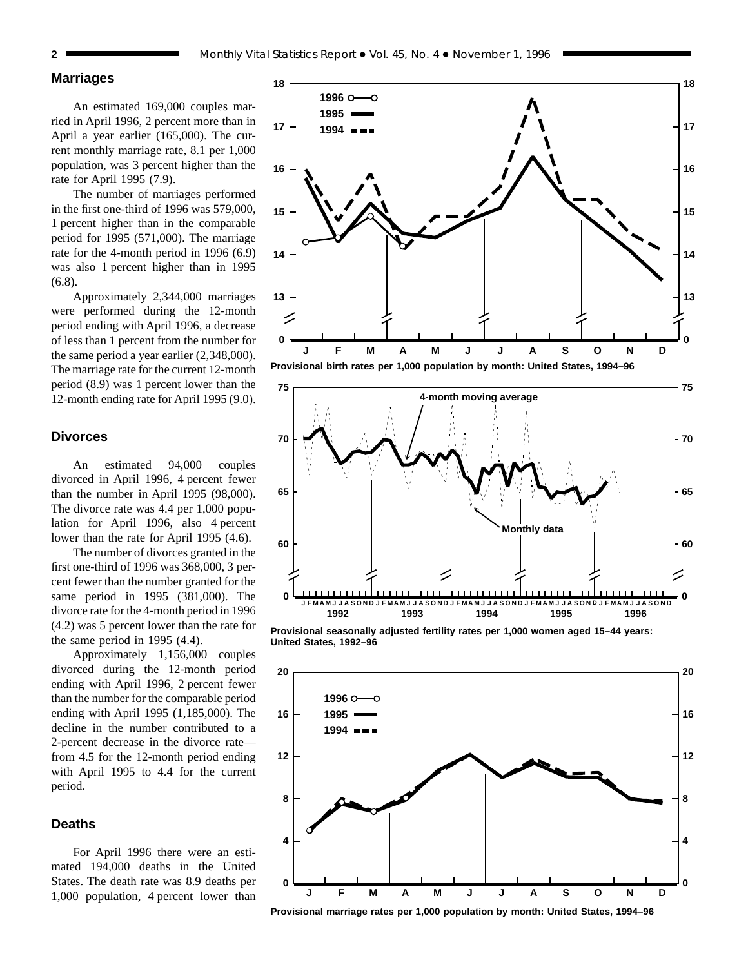# **Marriages**

An estimated 169,000 couples married in April 1996, 2 percent more than in April a year earlier (165,000). The current monthly marriage rate, 8.1 per 1,000 population, was 3 percent higher than the rate for April 1995 (7.9).

The number of marriages performed in the first one-third of 1996 was 579,000, 1 percent higher than in the comparable period for 1995 (571,000). The marriage rate for the 4-month period in 1996 (6.9) was also 1 percent higher than in 1995 (6.8).

Approximately 2,344,000 marriages were performed during the 12-month period ending with April 1996, a decrease of less than 1 percent from the number for the same period a year earlier (2,348,000). The marriage rate for the current 12-month period (8.9) was 1 percent lower than the 12-month ending rate for April 1995 (9.0).

# **Divorces**

An estimated 94,000 couples divorced in April 1996, 4 percent fewer than the number in April 1995 (98,000). The divorce rate was 4.4 per 1,000 population for April 1996, also 4 percent lower than the rate for April 1995 (4.6).

The number of divorces granted in the first one-third of 1996 was 368,000, 3 percent fewer than the number granted for the same period in 1995 (381,000). The divorce rate for the 4-month period in 1996 (4.2) was 5 percent lower than the rate for the same period in 1995 (4.4).

Approximately 1,156,000 couples divorced during the 12-month period ending with April 1996, 2 percent fewer than the number for the comparable period ending with April 1995 (1,185,000). The decline in the number contributed to a 2-percent decrease in the divorce rate from 4.5 for the 12-month period ending with April 1995 to 4.4 for the current period.

## **Deaths**

For April 1996 there were an estimated 194,000 deaths in the United States. The death rate was 8.9 deaths per 1,000 population, 4 percent lower than



**13**

**14**

**15**

**16**

**17**

**18**



**Provisional seasonally adjusted fertility rates per 1,000 women aged 15–44 years: United States, 1992–96**



**Provisional marriage rates per 1,000 population by month: United States, 1994–96**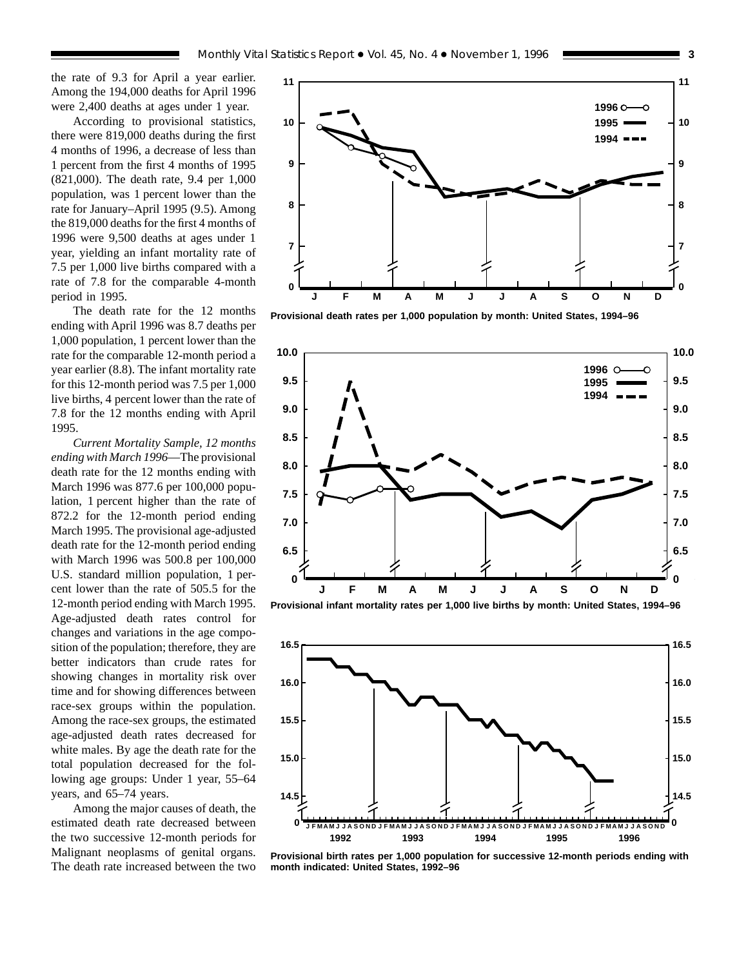the rate of 9.3 for April a year earlier. Among the 194,000 deaths for April 1996 were 2,400 deaths at ages under 1 year.

According to provisional statistics, there were 819,000 deaths during the first 4 months of 1996, a decrease of less than 1 percent from the first 4 months of 1995 (821,000). The death rate, 9.4 per 1,000 population, was 1 percent lower than the rate for January–April 1995 (9.5). Among the 819,000 deaths for the first 4 months of 1996 were 9,500 deaths at ages under 1 year, yielding an infant mortality rate of 7.5 per 1,000 live births compared with a rate of 7.8 for the comparable 4-month period in 1995.

The death rate for the 12 months ending with April 1996 was 8.7 deaths per 1,000 population, 1 percent lower than the rate for the comparable 12-month period a year earlier (8.8). The infant mortality rate for this 12-month period was 7.5 per 1,000 live births, 4 percent lower than the rate of 7.8 for the 12 months ending with April 1995.

*Current Mortality Sample, 12 months ending with March 1996*—The provisional death rate for the 12 months ending with March 1996 was 877.6 per 100,000 population, 1 percent higher than the rate of 872.2 for the 12-month period ending March 1995. The provisional age-adjusted death rate for the 12-month period ending with March 1996 was 500.8 per 100,000 U.S. standard million population, 1 percent lower than the rate of 505.5 for the 12-month period ending with March 1995. Age-adjusted death rates control for changes and variations in the age composition of the population; therefore, they are better indicators than crude rates for showing changes in mortality risk over time and for showing differences between race-sex groups within the population. Among the race-sex groups, the estimated age-adjusted death rates decreased for white males. By age the death rate for the total population decreased for the following age groups: Under 1 year, 55–64 years, and 65–74 years.

Among the major causes of death, the estimated death rate decreased between the two successive 12-month periods for Malignant neoplasms of genital organs. The death rate increased between the two



**Provisional death rates per 1,000 population by month: United States, 1994–96**



**Provisional infant mortality rates per 1,000 live births by month: United States, 1994–96**



**Provisional birth rates per 1,000 population for successive 12-month periods ending with month indicated: United States, 1992–96**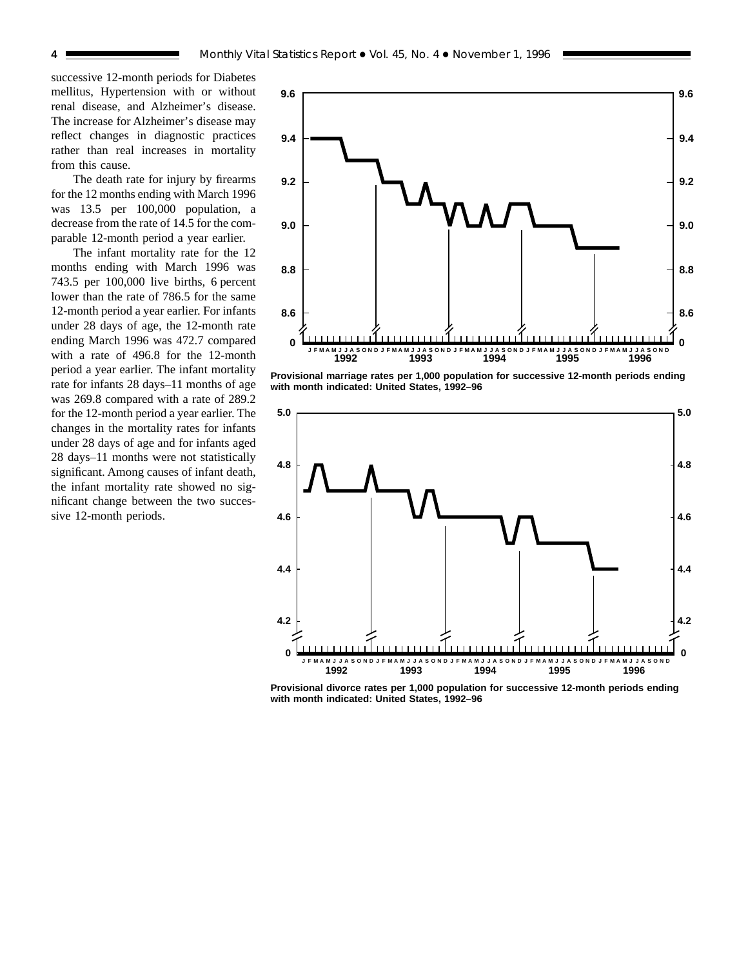successive 12-month periods for Diabetes mellitus, Hypertension with or without renal disease, and Alzheimer's disease. The increase for Alzheimer's disease may reflect changes in diagnostic practices rather than real increases in mortality from this cause.

The death rate for injury by firearms for the 12 months ending with March 1996 was 13.5 per 100,000 population, a decrease from the rate of 14.5 for the comparable 12-month period a year earlier.

The infant mortality rate for the 12 months ending with March 1996 was 743.5 per 100,000 live births, 6 percent lower than the rate of 786.5 for the same 12-month period a year earlier. For infants under 28 days of age, the 12-month rate ending March 1996 was 472.7 compared with a rate of 496.8 for the 12-month period a year earlier. The infant mortality rate for infants 28 days–11 months of age was 269.8 compared with a rate of 289.2 for the 12-month period a year earlier. The changes in the mortality rates for infants under 28 days of age and for infants aged 28 days–11 months were not statistically significant. Among causes of infant death, the infant mortality rate showed no significant change between the two successive 12-month periods.



**Provisional marriage rates per 1,000 population for successive 12-month periods ending with month indicated: United States, 1992–96**



**Provisional divorce rates per 1,000 population for successive 12-month periods ending with month indicated: United States, 1992–96**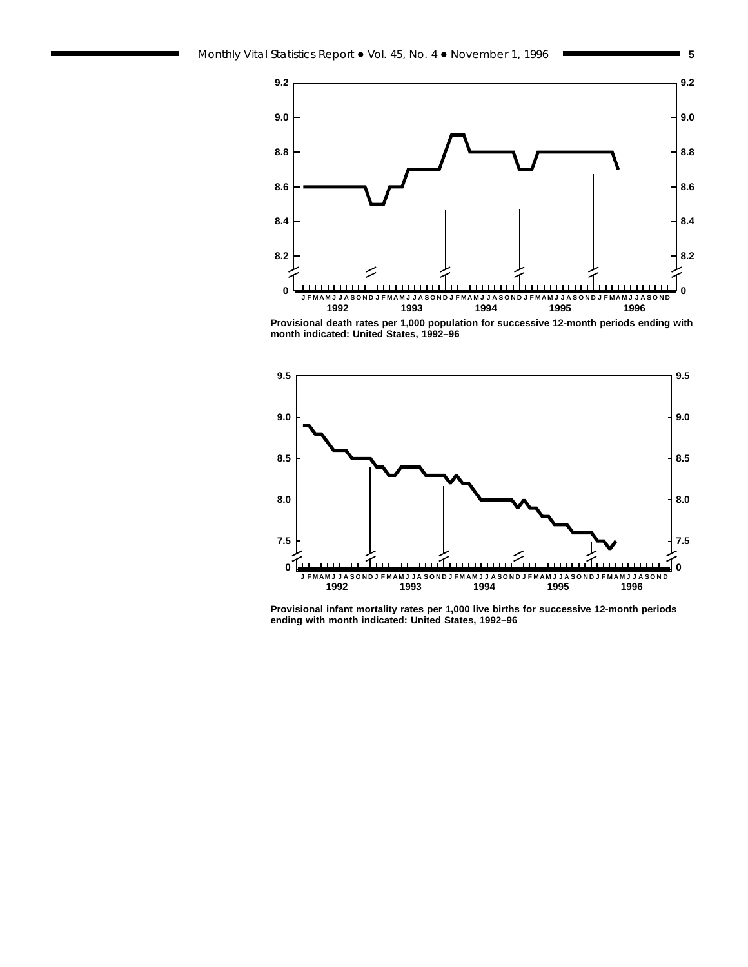



**Provisional death rates per 1,000 population for successive 12-month periods ending with month indicated: United States, 1992–96**



**Provisional infant mortality rates per 1,000 live births for successive 12-month periods ending with month indicated: United States, 1992–96**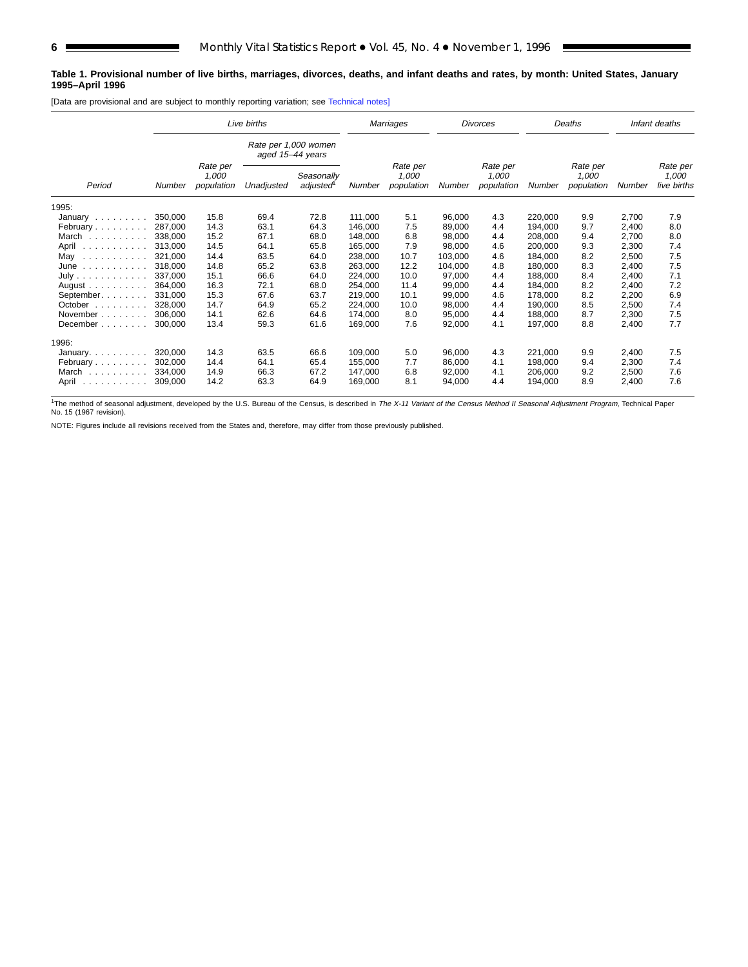### **Table 1. Provisional number of live births, marriages, divorces, deaths, and infant deaths and rates, by month: United States, January 1995–April 1996**

[Data are provisional and are subject to monthly reporting variation; see [Technical notes\]](#page-16-0)

|                                                                                                      |         |                                 | Live births                              |                        | Marriages |                                 |         | <b>Divorces</b>                 |         | Deaths                          |        | Infant deaths                    |
|------------------------------------------------------------------------------------------------------|---------|---------------------------------|------------------------------------------|------------------------|-----------|---------------------------------|---------|---------------------------------|---------|---------------------------------|--------|----------------------------------|
|                                                                                                      |         |                                 | Rate per 1,000 women<br>aged 15-44 years |                        |           |                                 |         |                                 |         |                                 |        |                                  |
| Period<br>1995:                                                                                      | Number  | Rate per<br>1.000<br>population | Unadjusted                               | Seasonally<br>adjusted | Number    | Rate per<br>1,000<br>population | Number  | Rate per<br>1.000<br>population | Number  | Rate per<br>1,000<br>population | Number | Rate per<br>1,000<br>live births |
|                                                                                                      |         |                                 |                                          |                        |           |                                 |         |                                 |         |                                 |        |                                  |
| January                                                                                              | 350,000 | 15.8                            | 69.4                                     | 72.8                   | 111,000   | 5.1                             | 96,000  | 4.3                             | 220,000 | 9.9                             | 2,700  | 7.9                              |
| February                                                                                             | 287,000 | 14.3                            | 63.1                                     | 64.3                   | 146.000   | 7.5                             | 89,000  | 4.4                             | 194,000 | 9.7                             | 2,400  | 8.0                              |
| March                                                                                                | 338,000 | 15.2                            | 67.1                                     | 68.0                   | 148,000   | 6.8                             | 98,000  | 4.4                             | 208,000 | 9.4                             | 2,700  | 8.0                              |
| April<br>.                                                                                           | 313,000 | 14.5                            | 64.1                                     | 65.8                   | 165,000   | 7.9                             | 98,000  | 4.6                             | 200,000 | 9.3                             | 2,300  | 7.4                              |
| May<br>$\begin{array}{cccccccccccccc} . & . & . & . & . & . & . & . & . & . & . & . & . \end{array}$ | 321,000 | 14.4                            | 63.5                                     | 64.0                   | 238,000   | 10.7                            | 103,000 | 4.6                             | 184,000 | 8.2                             | 2,500  | 7.5                              |
| June                                                                                                 | 318,000 | 14.8                            | 65.2                                     | 63.8                   | 263,000   | 12.2                            | 104,000 | 4.8                             | 180,000 | 8.3                             | 2,400  | 7.5                              |
| July                                                                                                 | 337.000 | 15.1                            | 66.6                                     | 64.0                   | 224,000   | 10.0                            | 97.000  | 4.4                             | 188.000 | 8.4                             | 2,400  | 7.1                              |
| August $\ldots$ , $\ldots$                                                                           | 364.000 | 16.3                            | 72.1                                     | 68.0                   | 254,000   | 11.4                            | 99,000  | 4.4                             | 184,000 | 8.2                             | 2,400  | 7.2                              |
| September.                                                                                           | 331.000 | 15.3                            | 67.6                                     | 63.7                   | 219,000   | 10.1                            | 99,000  | 4.6                             | 178.000 | 8.2                             | 2,200  | 6.9                              |
| October<br>and a state and                                                                           | 328,000 | 14.7                            | 64.9                                     | 65.2                   | 224,000   | 10.0                            | 98,000  | 4.4                             | 190,000 | 8.5                             | 2,500  | 7.4                              |
| November                                                                                             | 306.000 | 14.1                            | 62.6                                     | 64.6                   | 174,000   | 8.0                             | 95,000  | 4.4                             | 188,000 | 8.7                             | 2,300  | 7.5                              |
| December                                                                                             | 300,000 | 13.4                            | 59.3                                     | 61.6                   | 169,000   | 7.6                             | 92,000  | 4.1                             | 197,000 | 8.8                             | 2,400  | 7.7                              |
| 1996:                                                                                                |         |                                 |                                          |                        |           |                                 |         |                                 |         |                                 |        |                                  |
| January.                                                                                             | 320,000 | 14.3                            | 63.5                                     | 66.6                   | 109,000   | 5.0                             | 96,000  | 4.3                             | 221,000 | 9.9                             | 2,400  | 7.5                              |
| February                                                                                             | 302.000 | 14.4                            | 64.1                                     | 65.4                   | 155.000   | 7.7                             | 86,000  | 4.1                             | 198.000 | 9.4                             | 2,300  | 7.4                              |
| March                                                                                                | 334.000 | 14.9                            | 66.3                                     | 67.2                   | 147,000   | 6.8                             | 92,000  | 4.1                             | 206,000 | 9.2                             | 2,500  | 7.6                              |
| April<br>.                                                                                           | 309.000 | 14.2                            | 63.3                                     | 64.9                   | 169,000   | 8.1                             | 94.000  | 4.4                             | 194.000 | 8.9                             | 2.400  | 7.6                              |

<sup>1</sup>The method of seasonal adjustment, developed by the U.S. Bureau of the Census, is described in The X-11 Variant of the Census Method II Seasonal Adjustment Program, Technical Paper No. 15 (1967 revision).

NOTE: Figures include all revisions received from the States and, therefore, may differ from those previously published.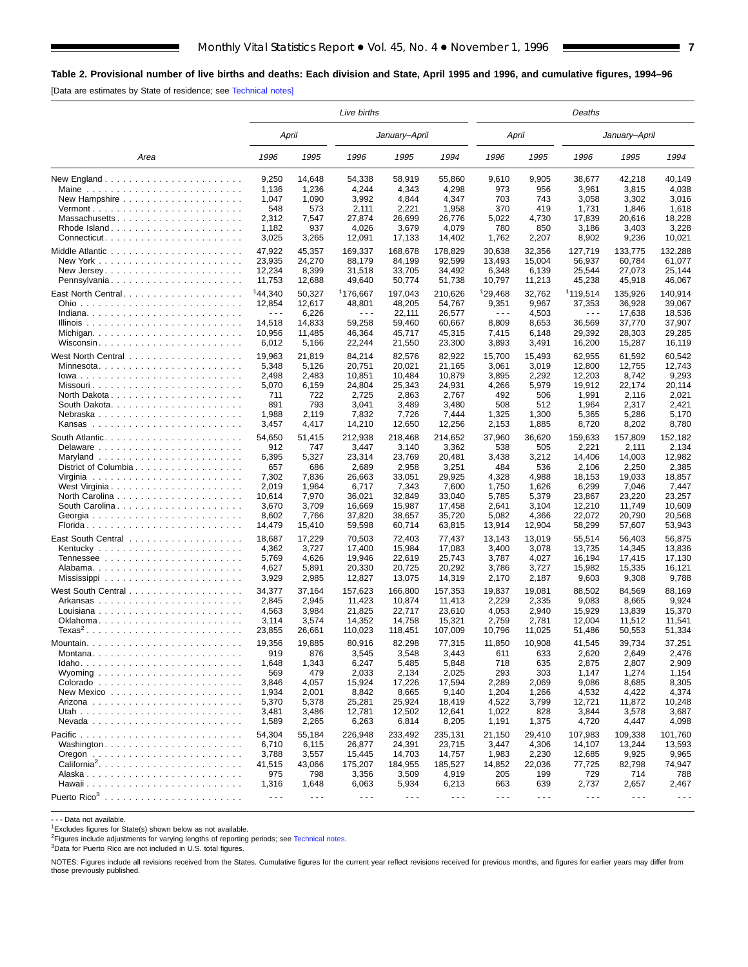# <span id="page-6-0"></span>**Table 2. Provisional number of live births and deaths: Each division and State, April 1995 and 1996, and cumulative figures, 1994–96**

[Data are estimates by State of residence; see [Technical notes\]](#page-16-0)

|                                                          |                      |                      | Live births          |                      |                      | Deaths               |                      |                      |                      |         |  |
|----------------------------------------------------------|----------------------|----------------------|----------------------|----------------------|----------------------|----------------------|----------------------|----------------------|----------------------|---------|--|
|                                                          |                      | April                |                      | January–April        |                      | April                |                      |                      | January–April        |         |  |
| Area                                                     | 1996                 | 1995                 | 1996                 | 1995                 | 1994                 | 1996                 | 1995                 | 1996                 | 1995                 | 1994    |  |
|                                                          | 9,250                | 14,648               | 54,338               | 58,919               | 55,860               | 9,610                | 9,905                | 38,677               | 42,218               | 40,149  |  |
| Maine $\ldots \ldots \ldots \ldots \ldots \ldots \ldots$ | 1,136                | 1,236                | 4,244                | 4,343                | 4,298                | 973                  | 956                  | 3,961                | 3,815                | 4,038   |  |
|                                                          | 1,047                | 1,090                | 3,992                | 4,844                | 4,347                | 703                  | 743                  | 3,058                | 3,302                | 3,016   |  |
|                                                          | 548                  | 573                  | 2,111                | 2,221                | 1,958                | 370                  | 419                  | 1,731                | 1,846                | 1,618   |  |
| Massachusetts                                            | 2,312                | 7,547                | 27,874               | 26,699               | 26,776               | 5,022                | 4,730                | 17,839               | 20,616               | 18,228  |  |
| Rhode Island                                             | 1,182                | 937                  | 4,026                | 3,679                | 4,079                | 780                  | 850                  | 3,186                | 3,403                | 3,228   |  |
| Connecticut                                              | 3,025                | 3,265                | 12,091               | 17,133               | 14,402               | 1,762                | 2,207                | 8,902                | 9,236                | 10,021  |  |
|                                                          | 47,922               | 45,357               | 169,337              | 168,678              | 178,829              | 30,638               | 32,356               | 127,719              | 133,775              | 132,288 |  |
|                                                          | 23,935               | 24,270               | 88,179               | 84,199               | 92,599               | 13,493               | 15,004               | 56,937               | 60.784               | 61,077  |  |
|                                                          | 12,234               | 8,399                | 31,518               | 33,705               | 34,492               | 6,348                | 6,139                | 25,544               | 27,073               | 25,144  |  |
| Pennsylvania                                             | 11,753               | 12,688               | 49,640               | 50,774               | 51,738               | 10,797               | 11,213               | 45,238               | 45,918               | 46,067  |  |
|                                                          | 144,340              | 50,327               | <sup>1</sup> 176,667 | 197,043              | 210,626              | 129,468              | 32,762               | 1119,514             | 135,926              | 140,914 |  |
|                                                          | 12,854               | 12,617               | 48,801               | 48,205               | 54,767               | 9,351                | 9,967                | 37,353               | 36,928               | 39,067  |  |
|                                                          | $  -$                | 6,226                | $\sim$ $\sim$ $\sim$ | 22,111               | 26,577               | $\sim$ $\sim$ $\sim$ | 4,503                | $\sim$ $\sim$ $\sim$ | 17,638               | 18,536  |  |
|                                                          | 14,518               | 14,833               | 59,258               | 59,460               | 60,667               | 8,809                | 8,653                | 36,569               | 37,770               | 37,907  |  |
|                                                          | 10,956               | 11,485               | 46,364               | 45,717               | 45,315               | 7,415                | 6,148                | 29,392               | 28,303               | 29,285  |  |
|                                                          | 6,012                | 5,166                | 22,244               | 21,550               | 23,300               | 3,893                | 3,491                | 16,200               | 15,287               | 16,119  |  |
|                                                          |                      |                      |                      |                      |                      |                      |                      |                      |                      |         |  |
|                                                          | 19,963               | 21,819               | 84,214               | 82,576               | 82,922               | 15,700               | 15,493               | 62,955               | 61,592               | 60,542  |  |
| Minnesota                                                | 5,348                | 5,126                | 20,751               | 20,021               | 21,165               | 3,061                | 3,019                | 12,800               | 12,755               | 12,743  |  |
|                                                          | 2,498                | 2,483                | 10,851               | 10,484               | 10,879               | 3,895                | 2,292                | 12,203               | 8,742                | 9,293   |  |
|                                                          | 5,070                | 6,159                | 24,804               | 25,343               | 24,931               | 4,266                | 5,979                | 19,912               | 22,174               | 20,114  |  |
|                                                          | 711                  | 722                  | 2,725                | 2,863                | 2,767                | 492                  | 506                  | 1,991                | 2,116                | 2,021   |  |
|                                                          | 891                  | 793                  | 3,041                | 3,489                | 3,480                | 508                  | 512                  | 1,964                | 2,317                | 2,421   |  |
| Nebraska                                                 | 1,988                | 2,119                | 7,832                | 7,726                | 7,444                | 1,325                | 1,300                | 5,365                | 5,286                | 5,170   |  |
|                                                          | 3,457                | 4,417                | 14,210               | 12,650               | 12,256               | 2,153                | 1,885                | 8,720                | 8,202                | 8,780   |  |
|                                                          | 54,650               | 51,415               | 212,938              | 218,468              | 214,652              | 37,960               | 36,620               | 159.633              | 157,809              | 152,182 |  |
|                                                          | 912                  | 747                  | 3,447                | 3,140                | 3,362                | 538                  | 505                  | 2,221                | 2,111                | 2,134   |  |
|                                                          | 6,395                | 5,327                | 23,314               | 23,769               | 20,481               | 3,438                | 3,212                | 14,406               | 14,003               | 12,982  |  |
| District of Columbia                                     | 657                  | 686                  | 2,689                | 2,958                | 3,251                | 484                  | 536                  | 2,106                | 2,250                | 2,385   |  |
|                                                          | 7,302                | 7,836                | 26,663               | 33,051               | 29,925               | 4,328                | 4,988                | 18,153               | 19,033               | 18,857  |  |
| West Virginia                                            | 2,019                | 1,964                | 6,717                | 7,343                | 7,600                | 1,750                | 1,626                | 6,299                | 7,046                | 7,447   |  |
|                                                          | 10,614               | 7,970                | 36,021               | 32,849               | 33,040               | 5,785                | 5,379                | 23,867               | 23,220               | 23,257  |  |
| South Carolina                                           | 3,670                | 3,709                | 16,669               | 15,987               | 17,458               | 2,641                | 3,104                | 12,210               | 11,749               | 10,609  |  |
| Georgia                                                  | 8,602                | 7,766                | 37,820               | 38,657               | 35,720               | 5,082                | 4,366                | 22,072               | 20,790               | 20,568  |  |
|                                                          | 14,479               | 15,410               | 59,598               | 60,714               | 63,815               | 13,914               | 12,904               | 58,299               | 57,607               | 53,943  |  |
|                                                          | 18,687               | 17,229               | 70,503               | 72,403               | 77,437               | 13,143               | 13,019               | 55,514               | 56,403               | 56,875  |  |
|                                                          | 4,362                | 3,727                | 17,400               | 15,984               | 17,083               | 3,400                | 3,078                | 13,735               | 14,345               | 13,836  |  |
|                                                          | 5,769                | 4,626                | 19,946               | 22,619               | 25,743               | 3,787                | 4,027                | 16,194               | 17,415               | 17,130  |  |
|                                                          | 4,627                | 5,891                | 20,330               | 20,725               | 20,292               | 3,786                | 3,727                | 15,982               | 15,335               | 16,121  |  |
|                                                          | 3,929                | 2,985                | 12,827               | 13,075               | 14,319               | 2,170                | 2,187                | 9,603                | 9,308                | 9,788   |  |
|                                                          |                      |                      |                      |                      |                      |                      |                      |                      |                      |         |  |
|                                                          | 34,377               | 37,164               | 157,623              | 166,800              | 157,353              | 19,837               | 19,081               | 88,502               | 84,569               | 88,169  |  |
|                                                          | 2,845                | 2,945                | 11,423               | 10.874               | 11,413               | 2,229                | 2,335                | 9,083                | 8,665                | 9,924   |  |
|                                                          | 4,563                | 3,984                | 21,825               | 22,717               | 23,610               | 4,053                | 2,940                | 15,929               | 13,839               | 15,370  |  |
|                                                          | 3,114                | 3,574                | 14,352               | 14,758               | 15,321               | 2,759                | 2,781                | 12,004               | 11,512               | 11,541  |  |
| $Texas2$                                                 | 23,855               | 26,661               | 110,023              | 118,451              | 107,009              | 10,796               | 11,025               | 51,486               | 50,553               | 51,334  |  |
|                                                          | 19,356               | 19,885               | 80,916               | 82,298               | 77,315               | 11,850               | 10,908               | 41,545               | 39,734               | 37,251  |  |
| Montana                                                  | 919                  | 876                  | 3,545                | 3,548                | 3,443                | 611                  | 633                  | 2,620                | 2,649                | 2,476   |  |
|                                                          | 1,648                | 1,343                | 6,247                | 5,485                | 5,848                | 718                  | 635                  | 2,875                | 2,807                | 2,909   |  |
|                                                          | 569                  | 479                  | 2,033                | 2,134                | 2,025                | 293                  | 303                  | 1,147                | 1,274                | 1,154   |  |
|                                                          | 3,846                | 4,057                | 15,924               | 17,226               | 17,594               | 2,289                | 2,069                | 9,086                | 8,685                | 8,305   |  |
|                                                          | 1,934                | 2,001                | 8,842                | 8,665                | 9,140                | 1,204                | 1,266                | 4,532                | 4,422                | 4,374   |  |
|                                                          | 5,370                | 5,378                | 25,281               | 25,924               | 18,419               | 4,522                | 3,799                | 12,721               | 11,872               | 10,248  |  |
|                                                          | 3,481                | 3,486                | 12,781               | 12,502               | 12,641               | 1,022                | 828                  | 3,844                | 3,578                | 3,687   |  |
|                                                          | 1,589                | 2,265                | 6,263                | 6,814                | 8,205                | 1,191                | 1,375                | 4,720                | 4,447                | 4,098   |  |
|                                                          | 54,304               | 55,184               | 226,948              | 233,492              | 235,131              | 21,150               | 29,410               | 107,983              | 109,338              | 101,760 |  |
| Washington                                               | 6,710                | 6,115                | 26,877               | 24,391               | 23,715               | 3,447                | 4,306                | 14,107               | 13,244               | 13,593  |  |
|                                                          | 3,788                | 3,557                | 15,445               | 14,703               | 14,757               | 1,983                | 2,230                | 12,685               | 9,925                | 9,965   |  |
|                                                          |                      |                      |                      | 184,955              | 185,527              |                      | 22,036               |                      |                      |         |  |
|                                                          | 41,515               | 43,066<br>798        | 175,207              |                      |                      | 14,852               | 199                  | 77,725               | 82,798<br>714        | 74,947  |  |
|                                                          | 975                  |                      | 3,356                | 3,509                | 4,919                | 205                  |                      | 729                  |                      | 788     |  |
|                                                          | 1,316                | 1,648                | 6,063                | 5,934                | 6,213                | 663                  | 639                  | 2,737                | 2,657                | 2,467   |  |
|                                                          | $\sim$ $\sim$ $\sim$ | $\sim$ $\sim$ $\sim$ | $\sim$ $\sim$ $\sim$ | $\sim$ $\sim$ $\sim$ | $\sim$ $\sim$ $\sim$ | $\sim$ $\sim$ $\sim$ | $\sim$ $\sim$ $\sim$ | $\sim$ $\sim$ $\sim$ | $\sim$ $\sim$ $\sim$ |         |  |

- - - Data not available.

 $1$ Excludes figures for State(s) shown below as not available.

<sup>2</sup>Figures include adjustments for varying lengths of reporting periods; see [Technical notes.](#page-16-0)

3Data for Puerto Rico are not included in U.S. total figures.

NOTES: Figures include all revisions received from the States. Cumulative figures for the current year reflect revisions received for previous months, and figures for earlier years may differ from those previously published.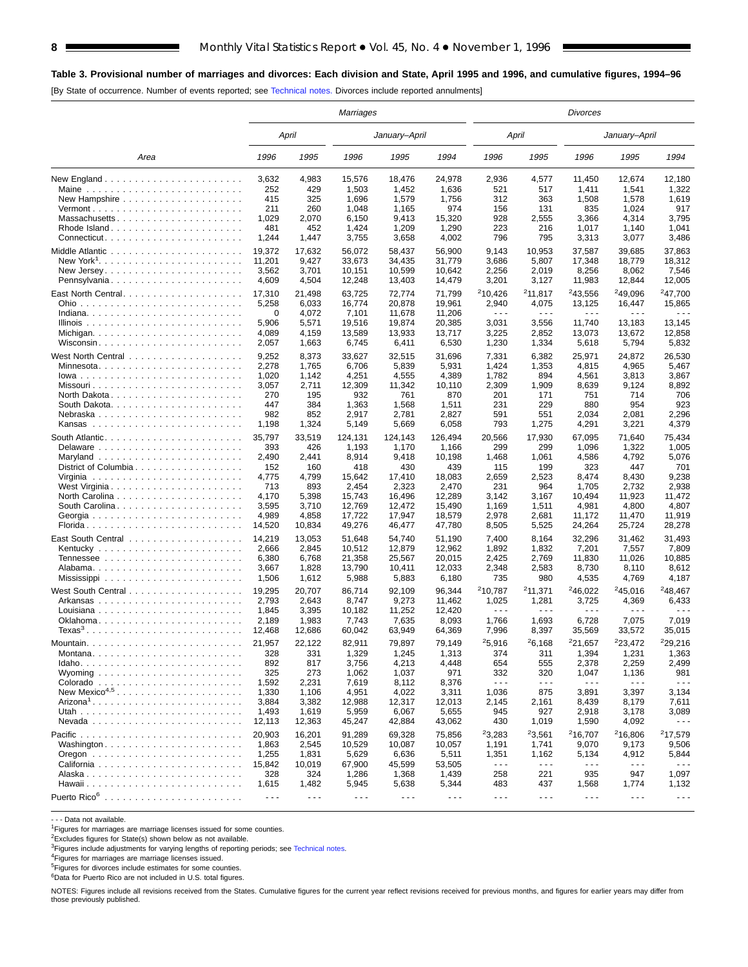## **Table 3. Provisional number of marriages and divorces: Each division and State, April 1995 and 1996, and cumulative figures, 1994–96**

[By State of occurrence. Number of events reported; see [Technical notes.](#page-16-0) Divorces include reported annulments]

|                                                     |                      |                      | <b>Marriages</b>     |                      |                      |                             |                             | Divorces                      |                               |                             |
|-----------------------------------------------------|----------------------|----------------------|----------------------|----------------------|----------------------|-----------------------------|-----------------------------|-------------------------------|-------------------------------|-----------------------------|
|                                                     |                      | April                |                      | January-April        |                      |                             | April                       |                               | January-April                 |                             |
| Area                                                | 1996                 | 1995                 | 1996                 | 1995                 | 1994                 | 1996                        | 1995                        | 1996                          | 1995                          | 1994                        |
|                                                     | 3,632<br>252         | 4,983<br>429         | 15,576<br>1,503      | 18,476<br>1,452      | 24,978<br>1,636      | 2,936<br>521                | 4,577<br>517                | 11.450<br>1,411               | 12,674<br>1,541               | 12.180<br>1,322             |
|                                                     | 415                  | 325                  | 1,696                | 1,579                | 1,756                | 312                         | 363                         | 1,508                         | 1,578                         | 1,619                       |
| $Vermont$                                           | 211                  | 260                  | 1,048                | 1,165                | 974                  | 156                         | 131                         | 835                           | 1,024                         | 917                         |
| Massachusetts                                       | 1,029                | 2,070                | 6,150                | 9,413                | 15,320               | 928                         | 2,555                       | 3,366                         | 4,314                         | 3,795                       |
| Rhode Island                                        | 481<br>1,244         | 452<br>1,447         | 1,424<br>3,755       | 1,209<br>3,658       | 1,290<br>4,002       | 223<br>796                  | 216<br>795                  | 1,017<br>3,313                | 1,140<br>3,077                | 1,041<br>3,486              |
|                                                     |                      |                      |                      |                      |                      |                             |                             |                               |                               |                             |
|                                                     | 19,372<br>11,201     | 17.632<br>9,427      | 56,072               | 58,437<br>34,435     | 56,900<br>31,779     | 9,143<br>3,686              | 10,953<br>5,807             | 37,587<br>17,348              | 39,685<br>18,779              | 37,863<br>18,312            |
|                                                     | 3,562                | 3,701                | 33,673<br>10,151     | 10,599               | 10,642               | 2,256                       | 2,019                       | 8,256                         | 8,062                         | 7,546                       |
| Pennsylvania                                        | 4,609                | 4,504                | 12,248               | 13,403               | 14,479               | 3,201                       | 3,127                       | 11,983                        | 12,844                        | 12,005                      |
|                                                     | 17,310               | 21,498               | 63,725               | 72,774               | 71,799               | 210,426                     | 211,817                     | <sup>2</sup> 43,556           | <sup>2</sup> 49,096           | <sup>2</sup> 47,700         |
|                                                     | 5,258                | 6,033                | 16,774               | 20,878               | 19,961               | 2,940                       | 4,075                       | 13,125                        | 16,447                        | 15,865                      |
|                                                     | 0                    | 4,072                | 7,101                | 11,678               | 11,206               | $\sim$ $\sim$ $\sim$        | $\sim$ $\sim$ $\sim$        | .                             | .                             | .                           |
|                                                     | 5,906                | 5,571                | 19,516               | 19,874               | 20,385               | 3,031                       | 3,556                       | 11,740                        | 13,183                        | 13,145                      |
| Michigan                                            | 4,089                | 4,159                | 13,589               | 13,933               | 13,717               | 3,225                       | 2,852                       | 13,073                        | 13,672                        | 12,858                      |
| Wisconsin                                           | 2,057                | 1,663                | 6,745                | 6,411                | 6,530                | 1,230                       | 1,334                       | 5,618                         | 5,794                         | 5,832                       |
|                                                     | 9,252                | 8,373                | 33,627               | 32,515               | 31,696               | 7,331                       | 6,382                       | 25,971                        | 24,872                        | 26,530                      |
|                                                     | 2,278                | 1,765                | 6,706                | 5,839                | 5,931                | 1,424                       | 1,353                       | 4,815                         | 4,965                         | 5,467                       |
|                                                     | 1,020                | 1,142                | 4,251                | 4,555                | 4,389                | 1,782                       | 894                         | 4,561                         | 3,813                         | 3,867                       |
|                                                     | 3,057<br>270         | 2,711<br>195         | 12,309<br>932        | 11,342<br>761        | 10,110<br>870        | 2,309<br>201                | 1,909<br>171                | 8,639<br>751                  | 9,124<br>714                  | 8,892<br>706                |
| North Dakota                                        | 447                  | 384                  | 1,363                | 1,568                | 1,511                | 231                         | 229                         | 880                           | 954                           | 923                         |
| Nebraska                                            | 982                  | 852                  | 2,917                | 2,781                | 2,827                | 591                         | 551                         | 2,034                         | 2,081                         | 2,296                       |
|                                                     | 1,198                | 1,324                | 5,149                | 5,669                | 6,058                | 793                         | 1,275                       | 4,291                         | 3,221                         | 4,379                       |
|                                                     | 35,797               | 33,519               | 124,131              | 124,143              | 126,494              | 20,566                      | 17,930                      | 67,095                        | 71,640                        | 75,434                      |
|                                                     | 393                  | 426                  | 1,193                | 1,170                | 1,166                | 299                         | 299                         | 1,096                         | 1,322                         | 1,005                       |
|                                                     | 2,490                | 2,441                | 8,914                | 9,418                | 10,198               | 1,468                       | 1,061                       | 4,586                         | 4,792                         | 5,076                       |
| District of Columbia                                | 152                  | 160                  | 418                  | 430                  | 439                  | 115                         | 199                         | 323                           | 447                           | 701                         |
|                                                     | 4,775                | 4,799                | 15,642               | 17,410               | 18,083               | 2,659                       | 2,523                       | 8,474                         | 8,430                         | 9,238                       |
| West Virginia                                       | 713                  | 893                  | 2,454                | 2,323                | 2,470                | 231                         | 964                         | 1,705                         | 2,732                         | 2,938                       |
| North Carolina                                      | 4,170                | 5,398                | 15,743               | 16,496               | 12,289               | 3,142                       | 3,167                       | 10,494                        | 11,923                        | 11,472                      |
| South Carolina                                      | 3,595                | 3,710                | 12,769               | 12,472               | 15,490               | 1,169                       | 1,511                       | 4,981                         | 4,800                         | 4,807<br>11,919             |
|                                                     | 4,989<br>14,520      | 4,858<br>10,834      | 17,722<br>49,276     | 17,947<br>46,477     | 18,579<br>47,780     | 2,978<br>8,505              | 2,681<br>5,525              | 11,172<br>24,264              | 11,470<br>25,724              | 28,278                      |
|                                                     | 14,219               | 13,053               | 51,648               | 54,740               | 51,190               | 7,400                       | 8,164                       | 32,296                        | 31,462                        | 31,493                      |
|                                                     | 2,666                | 2,845                | 10,512               | 12,879               | 12,962               | 1,892                       | 1,832                       | 7,201                         | 7,557                         | 7,809                       |
|                                                     | 6,380                | 6,768                | 21,358               | 25,567               | 20,015               | 2,425                       | 2,769                       | 11,830                        | 11,026                        | 10,885                      |
|                                                     | 3,667                | 1,828                | 13,790               | 10,411               | 12,033               | 2,348                       | 2,583                       | 8,730                         | 8,110                         | 8,612                       |
|                                                     | 1,506                | 1,612                | 5,988                | 5,883                | 6,180                | 735                         | 980                         | 4,535                         | 4,769                         | 4,187                       |
|                                                     | 19,295               | 20,707               | 86,714               | 92,109               | 96,344               | <sup>2</sup> 10,787         | 211,371                     | 246,022                       | 245,016                       | <sup>2</sup> 48,467         |
|                                                     | 2,793                | 2,643                | 8,747                | 9,273                | 11,462               | 1,025                       | 1,281                       | 3,725                         | 4,369                         | 6,433                       |
|                                                     | 1,845                | 3,395                | 10,182               | 11,252               | 12,420               | $\sim$ $\sim$ $\sim$        | $\sim$ $\sim$ $\sim$        | .                             | .                             |                             |
| Oklahoma                                            | 2,189                | 1,983                | 7,743                | 7,635                | 8,093                | 1,766                       | 1,693                       | 6,728                         | 7,075                         | 7,019                       |
| $Texas3$                                            | 12,468               | 12,686               | 60,042               | 63,949               | 64,369               | 7,996                       | 8,397                       | 35,569                        | 33,572                        | 35,015                      |
|                                                     | 21,957               | 22,122               | 82,911               | 79,897               | 79,149               | 25,916                      | 26,168                      | <sup>2</sup> 21,657           | 223,472                       | 229,216                     |
|                                                     | 328                  | 331                  | 1,329                | 1,245                | 1,313                | 374                         | 311                         | 1,394                         | 1,231                         | 1,363                       |
|                                                     | 892                  | 817                  | 3,756                | 4,213                | 4,448                | 654                         | 555                         | 2,378                         | 2,259                         | 2,499                       |
| Wyoming $\ldots \ldots \ldots \ldots \ldots \ldots$ | 325<br>1,592         | 273<br>2,231         | 1,062<br>7,619       | 1,037<br>8,112       | 971<br>8,376         | 332<br>$\sim$ $\sim$ $\sim$ | 320<br>$\sim$ $\sim$ $\sim$ | 1,047<br>$\sim$ $\sim$ $\sim$ | 1,136<br>$\sim$ $\sim$ $\sim$ | 981<br>$\sim$ $\sim$ $\sim$ |
| New Mexico <sup>4,5</sup>                           | 1,330                | 1,106                | 4,951                | 4,022                | 3,311                | 1,036                       | 875                         | 3,891                         | 3,397                         | 3,134                       |
|                                                     | 3,884                | 3,382                | 12,988               | 12,317               | 12,013               | 2,145                       | 2,161                       | 8,439                         | 8,179                         | 7,611                       |
|                                                     | 1,493                | 1,619                | 5,959                | 6,067                | 5,655                | 945                         | 927                         | 2,918                         | 3,178                         | 3,089                       |
|                                                     | 12,113               | 12,363               | 45,247               | 42,884               | 43,062               | 430                         | 1,019                       | 1,590                         | 4,092                         | $- - -$                     |
|                                                     | 20,903               | 16,201               | 91,289               | 69,328               | 75,856               | 23,283                      | 23,561                      | <sup>2</sup> 16,707           | 216,806                       | 217,579                     |
| Washington                                          | 1,863                | 2,545                | 10,529               | 10,087               | 10,057               | 1,191                       | 1,741                       | 9,070                         | 9,173                         | 9,506                       |
|                                                     | 1,255                | 1,831                | 5,629                | 6,636                | 5,511                | 1,351                       | 1,162                       | 5,134                         | 4,912                         | 5,844                       |
|                                                     | 15,842               | 10,019               | 67,900               | 45,599               | 53,505               | $\sim$ $\sim$ $\sim$        | $\sim$ $\sim$ $\sim$        | - - -                         | $  -$                         | $\sim$ $\sim$ $\sim$        |
|                                                     | 328                  | 324                  | 1,286                | 1,368                | 1,439                | 258                         | 221                         | 935                           | 947                           | 1,097                       |
|                                                     | 1,615                | 1,482                | 5,945                | 5,638                | 5,344                | 483                         | 437                         | 1,568                         | 1,774                         | 1,132                       |
|                                                     | $\sim$ $\sim$ $\sim$ | $\sim$ $\sim$ $\sim$ | $\sim$ $\sim$ $\sim$ | $\sim$ $\sim$ $\sim$ | $\sim$ $\sim$ $\sim$ | $\sim$ $\sim$ $\sim$        | $\sim$ $\sim$ $\sim$        | $\sim$ $\sim$ $\sim$          | $  -$                         | $\sim$ $\sim$ $\sim$        |

- - - Data not available.

<sup>1</sup>Figures for marriages are marriage licenses issued for some counties.

2Excludes figures for State(s) shown below as not available.

<sup>3</sup>Figures include adjustments for varying lengths of reporting periods; see [Technical notes](#page-16-0).

4Figures for marriages are marriage licenses issued.

5Figures for divorces include estimates for some counties.

 $6D$ ata for Puerto Rico are not included in U.S. total figures.

NOTES: Figures include all revisions received from the States. Cumulative figures for the current year reflect revisions received for previous months, and figures for earlier years may differ from those previously published.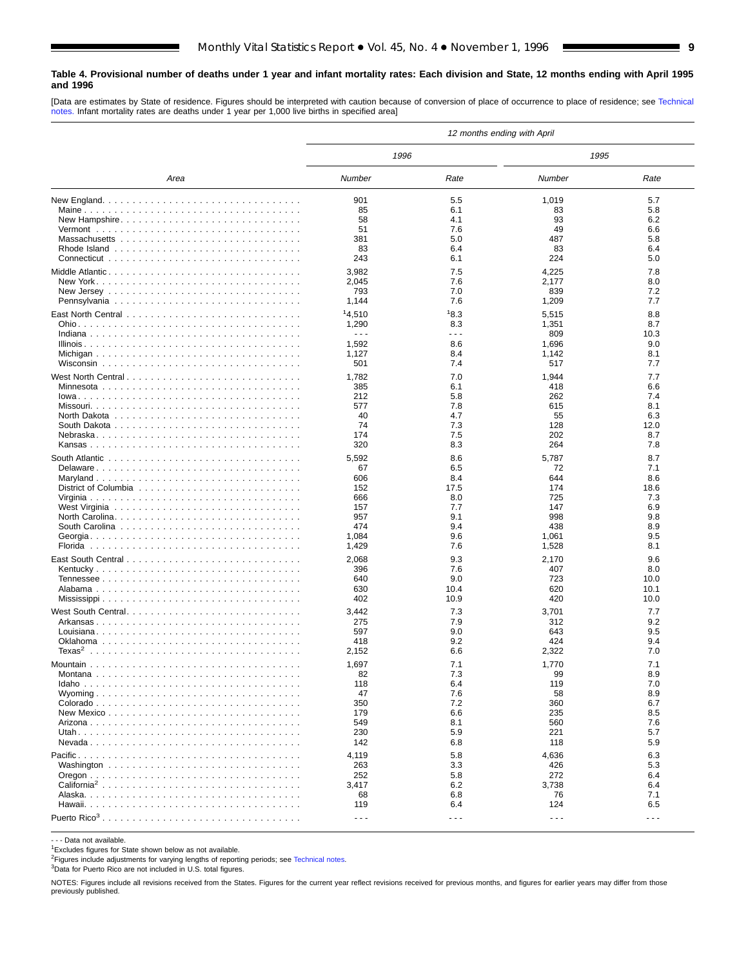### <span id="page-8-0"></span>**Table 4. Provisional number of deaths under 1 year and infant mortality rates: Each division and State, 12 months ending with April 1995 and 1996**

[Data are estimates by State of residence. Figures should be interpreted with caution because of conversion of place of occurrence to place of residence; see [Technical](#page-16-0) [notes.](#page-16-0) Infant mortality rates are deaths under 1 year per 1,000 live births in specified area]

|                    | 12 months ending with April |                      |                      |             |  |  |  |  |  |  |
|--------------------|-----------------------------|----------------------|----------------------|-------------|--|--|--|--|--|--|
|                    | 1996                        |                      | 1995                 |             |  |  |  |  |  |  |
| Area               | Number                      | Rate                 | Number               | Rate        |  |  |  |  |  |  |
|                    | 901                         | 5.5                  | 1,019                | 5.7         |  |  |  |  |  |  |
|                    | 85                          | 6.1                  | 83                   | 5.8         |  |  |  |  |  |  |
| New Hampshire      | 58                          | 4.1                  | 93                   | 6.2         |  |  |  |  |  |  |
|                    | 51                          | 7.6                  | 49                   | 6.6         |  |  |  |  |  |  |
|                    | 381                         | 5.0                  | 487                  | 5.8         |  |  |  |  |  |  |
|                    | 83                          | 6.4                  | 83                   | 6.4         |  |  |  |  |  |  |
|                    | 243                         | 6.1                  | 224                  | 5.0         |  |  |  |  |  |  |
|                    | 3,982                       | 7.5                  | 4,225                | 7.8         |  |  |  |  |  |  |
|                    | 2,045                       | 7.6                  | 2,177                | 8.0         |  |  |  |  |  |  |
|                    | 793                         | 7.0                  | 839                  | 7.2         |  |  |  |  |  |  |
|                    | 1,144                       | 7.6                  | 1,209                | 7.7         |  |  |  |  |  |  |
|                    | 14,510                      | 18.3                 | 5,515                | 8.8         |  |  |  |  |  |  |
|                    | 1,290                       | 8.3                  | 1,351                | 8.7         |  |  |  |  |  |  |
|                    | $\sim$ $\sim$ $\sim$        | .                    | 809                  | 10.3        |  |  |  |  |  |  |
|                    | 1,592                       | 8.6                  | 1,696                | 9.0         |  |  |  |  |  |  |
|                    | 1,127                       | 8.4                  | 1,142                | 8.1         |  |  |  |  |  |  |
|                    | 501                         | 7.4                  | 517                  | 7.7         |  |  |  |  |  |  |
|                    | 1,782                       | 7.0                  | 1,944                | 7.7         |  |  |  |  |  |  |
|                    | 385                         | 6.1                  | 418                  | 6.6         |  |  |  |  |  |  |
|                    | 212                         | 5.8                  | 262                  | 7.4         |  |  |  |  |  |  |
|                    | 577                         | 7.8                  | 615                  | 8.1         |  |  |  |  |  |  |
|                    | 40                          | 4.7                  | 55                   | 6.3         |  |  |  |  |  |  |
|                    | 74                          | 7.3                  | 128                  | 12.0        |  |  |  |  |  |  |
|                    | 174                         | 7.5                  | 202                  | 8.7         |  |  |  |  |  |  |
|                    | 320                         | 8.3                  | 264                  | 7.8         |  |  |  |  |  |  |
|                    |                             |                      |                      |             |  |  |  |  |  |  |
|                    | 5,592                       | 8.6                  | 5,787                | 8.7         |  |  |  |  |  |  |
| Delaware           | 67                          | 6.5                  | 72<br>644            | 7.1         |  |  |  |  |  |  |
|                    | 606                         | 8.4                  |                      | 8.6         |  |  |  |  |  |  |
|                    | 152<br>666                  | 17.5<br>8.0          | 174<br>725           | 18.6<br>7.3 |  |  |  |  |  |  |
|                    | 157                         | 7.7                  | 147                  | 6.9         |  |  |  |  |  |  |
|                    | 957                         | 9.1                  | 998                  | 9.8         |  |  |  |  |  |  |
|                    | 474                         | 9.4                  | 438                  | 8.9         |  |  |  |  |  |  |
|                    | 1,084                       | 9.6                  | 1,061                | 9.5         |  |  |  |  |  |  |
|                    | 1,429                       | 7.6                  | 1,528                | 8.1         |  |  |  |  |  |  |
|                    | 2,068                       | 9.3                  |                      | 9.6         |  |  |  |  |  |  |
|                    | 396                         | 7.6                  | 2,170<br>407         | 8.0         |  |  |  |  |  |  |
|                    | 640                         | 9.0                  | 723                  | 10.0        |  |  |  |  |  |  |
|                    | 630                         | 10.4                 | 620                  | 10.1        |  |  |  |  |  |  |
|                    | 402                         | 10.9                 | 420                  | 10.0        |  |  |  |  |  |  |
|                    |                             |                      |                      |             |  |  |  |  |  |  |
|                    | 3,442                       | 7.3                  | 3,701                | 7.7         |  |  |  |  |  |  |
|                    | 275                         | 7.9                  | 312                  | 9.2         |  |  |  |  |  |  |
|                    | 597                         | 9.0                  | 643                  | 9.5         |  |  |  |  |  |  |
| Texas <sup>2</sup> | 418                         | 9.2                  | 424                  | 9.4<br>7.0  |  |  |  |  |  |  |
|                    | 2,152                       | 6.6                  | 2,322                |             |  |  |  |  |  |  |
|                    | 1,697                       | 7.1                  | 1,770                | 7.1         |  |  |  |  |  |  |
|                    | 82                          | 7.3                  | 99                   | 8.9         |  |  |  |  |  |  |
|                    | 118                         | 6.4                  | 119                  | 7.0         |  |  |  |  |  |  |
|                    | 47                          | 7.6                  | 58                   | 8.9         |  |  |  |  |  |  |
|                    | 350                         | 7.2                  | 360                  | 6.7         |  |  |  |  |  |  |
|                    | 179                         | 6.6                  | 235                  | 8.5         |  |  |  |  |  |  |
|                    | 549                         | 8.1                  | 560                  | 7.6         |  |  |  |  |  |  |
|                    | 230                         | 5.9                  | 221                  | 5.7         |  |  |  |  |  |  |
|                    | 142                         | 6.8                  | 118                  | 5.9         |  |  |  |  |  |  |
|                    | 4,119                       | 5.8                  | 4,636                | 6.3         |  |  |  |  |  |  |
|                    | 263                         | 3.3                  | 426                  | 5.3         |  |  |  |  |  |  |
|                    | 252                         | 5.8                  | 272                  | 6.4         |  |  |  |  |  |  |
|                    | 3,417                       | 6.2                  | 3,738                | 6.4         |  |  |  |  |  |  |
|                    | 68                          | 6.8                  | 76                   | 7.1         |  |  |  |  |  |  |
|                    | 119                         | 6.4                  | 124                  | 6.5         |  |  |  |  |  |  |
|                    | $- - -$                     | $\sim$ $\sim$ $\sim$ | $\sim$ $\sim$ $\sim$ | $- - -$     |  |  |  |  |  |  |

- - - Data not available.

1Excludes figures for State shown below as not available.

<sup>2</sup>Figures include adjustments for varying lengths of reporting periods; see [Technical notes.](#page-16-0)

3Data for Puerto Rico are not included in U.S. total figures.

NOTES: Figures include all revisions received from the States. Figures for the current year reflect revisions received for previous months, and figures for earlier years may differ from those previously published.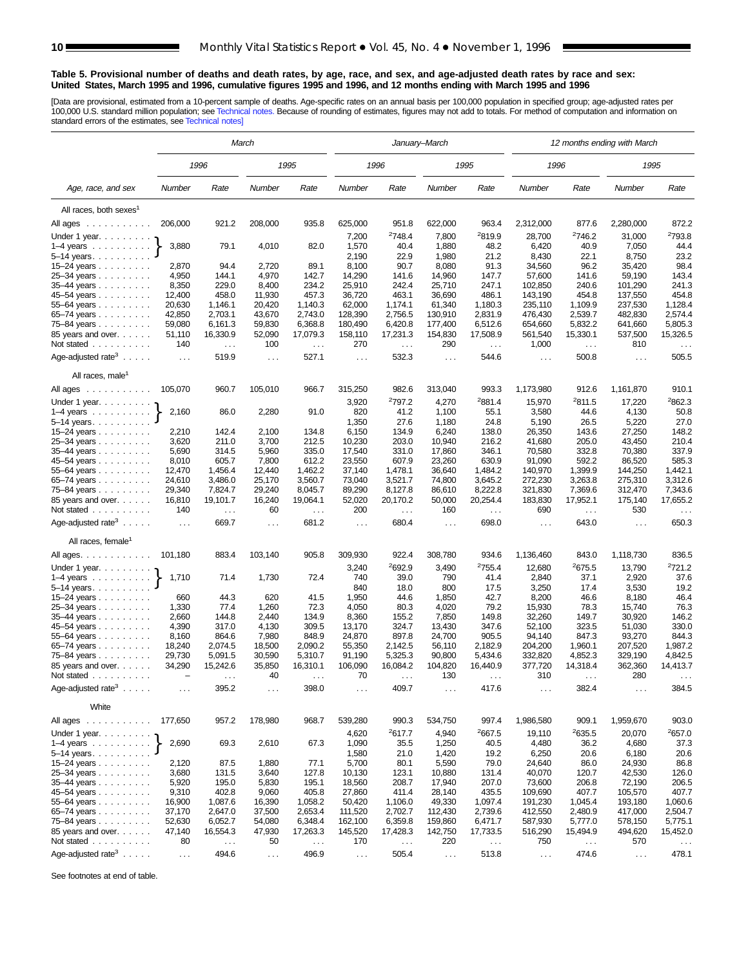### <span id="page-9-0"></span>**Table 5. Provisional number of deaths and death rates, by age, race, and sex, and age-adjusted death rates by race and sex: United States, March 1995 and 1996, cumulative figures 1995 and 1996, and 12 months ending with March 1995 and 1996**

[Data are provisional, estimated from a 10-percent sample of deaths. Age-specific rates on an annual basis per 100,000 population in specified group; age-adjusted rates per<br>100,000 U.S. standard million population; see Tec

|                                                                       | March           |                               |                      |                |                      |                    | January–March    |                      | 12 months ending with March |                      |                      |                      |  |  |
|-----------------------------------------------------------------------|-----------------|-------------------------------|----------------------|----------------|----------------------|--------------------|------------------|----------------------|-----------------------------|----------------------|----------------------|----------------------|--|--|
|                                                                       |                 | 1996                          |                      | 1995           |                      | 1996               |                  | 1995                 | 1996                        |                      | 1995                 |                      |  |  |
| Age, race, and sex                                                    | Number          | Rate                          | Number               | Rate           | Number               | Rate               | Number           | Rate                 | Number                      | Rate                 | Number               | Rate                 |  |  |
| All races, both sexes <sup>1</sup>                                    |                 |                               |                      |                |                      |                    |                  |                      |                             |                      |                      |                      |  |  |
| All ages<br>$\mathcal{A}$ , and a set of the set of the $\mathcal{A}$ | 206,000         | 921.2                         | 208,000              | 935.8          | 625,000              | 951.8              | 622,000          | 963.4                | 2,312,000                   | 877.6                | 2,280,000            | 872.2                |  |  |
|                                                                       |                 |                               |                      |                |                      | <sup>2</sup> 748.4 |                  | <sup>2</sup> 819.9   |                             | <sup>2</sup> 746.2   |                      | <sup>2</sup> 793.8   |  |  |
| Under 1 year.                                                         | 3,880           | 79.1                          | 4,010                | 82.0           | 7,200<br>1,570       | 40.4               | 7,800<br>1,880   | 48.2                 | 28,700<br>6,420             | 40.9                 | 31,000<br>7,050      | 44.4                 |  |  |
| $1-4$ years $\ldots$ $\ldots$ $\ldots$<br>5-14 years.                 |                 |                               |                      |                | 2,190                | 22.9               | 1,980            | 21.2                 | 8,430                       | 22.1                 | 8,750                | 23.2                 |  |  |
| $15 - 24$ years                                                       | 2,870           | 94.4                          | 2,720                | 89.1           | 8,100                | 90.7               | 8,080            | 91.3                 | 34,560                      | 96.2                 | 35,420               | 98.4                 |  |  |
| 25-34 years                                                           | 4,950           | 144.1                         | 4,970                | 142.7          | 14,290               | 141.6              | 14,960           | 147.7                | 57,600                      | 141.6                | 59,190               | 143.4                |  |  |
| 35-44 years                                                           | 8,350           | 229.0                         | 8,400                | 234.2          | 25,910               | 242.4              | 25,710           | 247.1                | 102,850                     | 240.6                | 101,290              | 241.3                |  |  |
| 45-54 years                                                           | 12,400          | 458.0                         | 11,930               | 457.3          | 36,720               | 463.1              | 36,690           | 486.1                | 143,190                     | 454.8                | 137,550              | 454.8                |  |  |
| 55-64 years                                                           | 20,630          | 1,146.1                       | 20,420               | 1,140.3        | 62,000               | 1,174.1            | 61,340           | 1,180.3              | 235,110                     | 1.109.9              | 237,530              | 1,128.4              |  |  |
| 65-74 years                                                           | 42,850          | 2,703.1                       | 43,670               | 2,743.0        | 128,390              | 2,756.5            | 130,910          | 2,831.9              | 476,430                     | 2,539.7              | 482,830              | 2,574.4              |  |  |
| 75-84 years                                                           | 59,080          | 6,161.3                       | 59,830               | 6,368.8        | 180,490              | 6,420.8            | 177,400          | 6,512.6              | 654,660                     | 5,832.2              | 641,660              | 5,805.3              |  |  |
| 85 years and over.                                                    | 51,110          | 16,330.9                      | 52,090               | 17,079.3       | 158,110              | 17,231.3           | 154,830          | 17,508.9             | 561,540                     | 15,330.1             | 537,500              | 15,326.5             |  |  |
| Not stated                                                            | 140             | $\sim$ $\sim$                 | 100                  | $\sim$ .       | 270                  | $\sim$ .           | 290              | $\sim$ .             | 1,000                       | $\sim$               | 810                  | $\ldots$             |  |  |
| Age-adjusted rate <sup>3</sup> $\ldots$ .                             | $\ldots$        | 519.9                         | $\sim$ $\sim$        | 527.1          | $\cdots$             | 532.3              | $\ldots$         | 544.6                | $\sim$ .                    | 500.8                | $\sim 10$            | 505.5                |  |  |
| All races, male <sup>1</sup>                                          |                 |                               |                      |                |                      |                    |                  |                      |                             |                      |                      |                      |  |  |
| All ages                                                              | 105,070         | 960.7                         | 105,010              | 966.7          | 315,250              | 982.6              | 313,040          | 993.3                | 1,173,980                   | 912.6                | 1,161,870            | 910.1                |  |  |
| Under 1 year.                                                         |                 |                               |                      |                | 3,920                | 2797.2             | 4,270            | <sup>2</sup> 881.4   | 15,970                      | 2811.5               | 17,220               | 2862.3               |  |  |
| $1-4$ years                                                           | 2,160           | 86.0                          | 2,280                | 91.0           | 820                  | 41.2               | 1,100            | 55.1                 | 3,580                       | 44.6                 | 4,130                | 50.8                 |  |  |
| $5 - 14$ years.                                                       |                 |                               |                      |                | 1,350                | 27.6               | 1,180            | 24.8                 | 5,190                       | 26.5                 | 5,220                | 27.0                 |  |  |
| 15-24 years                                                           | 2,210           | 142.4                         | 2,100                | 134.8          | 6,150                | 134.9              | 6,240            | 138.0                | 26,350                      | 143.6                | 27,250               | 148.2                |  |  |
| 25-34 years                                                           | 3,620           | 211.0                         | 3,700                | 212.5          | 10,230               | 203.0              | 10,940           | 216.2                | 41,680                      | 205.0                | 43,450               | 210.4                |  |  |
| 35-44 years                                                           | 5,690           | 314.5<br>605.7                | 5,960                | 335.0<br>612.2 | 17,540<br>23,550     | 331.0<br>607.9     | 17,860           | 346.1<br>630.9       | 70,580<br>91,090            | 332.8                | 70,380               | 337.9<br>585.3       |  |  |
| 45-54 years                                                           | 8,010<br>12,470 | 1,456.4                       | 7,800<br>12,440      | 1,462.2        | 37,140               | 1,478.1            | 23,260<br>36,640 | 1,484.2              | 140,970                     | 592.2<br>1,399.9     | 86,520<br>144,250    | 1,442.1              |  |  |
| 55–64 years                                                           | 24,610          | 3,486.0                       | 25.170               | 3,560.7        | 73,040               | 3,521.7            | 74.800           | 3,645.2              | 272,230                     | 3,263.8              | 275,310              | 3,312.6              |  |  |
| 65–74 years<br>75-84 years                                            | 29,340          | 7,824.7                       | 29,240               | 8,045.7        | 89,290               | 8,127.8            | 86,610           | 8,222.8              | 321,830                     | 7,369.6              | 312,470              | 7,343.6              |  |  |
| 85 years and over.                                                    | 16,810          | 19,101.7                      | 16,240               | 19,064.1       | 52,020               | 20,170.2           | 50,000           | 20,254.4             | 183,830                     | 17,952.1             | 175,140              | 17,655.2             |  |  |
| Not stated                                                            | 140             | $\sim$ .                      | 60                   | $\sim$ $\sim$  | 200                  | $\sim$ $\sim$      | 160              | $\sim$ $\sim$ $\sim$ | 690                         | $\sim$ $\sim$ $\sim$ | 530                  | $\sim$ $\sim$ $\sim$ |  |  |
| Age-adjusted rate <sup>3</sup> $\ldots$ .                             | $\ldots$        | 669.7                         | $\sim$ $\sim$        | 681.2          | $\sim$ $\sim$ $\sim$ | 680.4              | $\cdots$         | 698.0                | $\ldots$                    | 643.0                | $\ldots$             | 650.3                |  |  |
| All races, female <sup>1</sup>                                        |                 |                               |                      |                |                      |                    |                  |                      |                             |                      |                      |                      |  |  |
| All ages.                                                             | 101,180         | 883.4                         | 103,140              | 905.8          | 309,930              | 922.4              | 308,780          | 934.6                | 1,136,460                   | 843.0                | 1,118,730            | 836.5                |  |  |
| Under 1 year.                                                         |                 |                               |                      |                | 3,240                | 2692.9             | 3,490            | 2755.4               | 12,680                      | 2675.5               | 13,790               | 2721.2               |  |  |
| $1-4$ years                                                           | 1,710           | 71.4                          | 1,730                | 72.4           | 740                  | 39.0               | 790              | 41.4                 | 2,840                       | 37.1                 | 2,920                | 37.6                 |  |  |
| 5-14 years.                                                           |                 |                               |                      |                | 840                  | 18.0               | 800              | 17.5                 | 3,250                       | 17.4                 | 3,530                | 19.2                 |  |  |
| $15 - 24$ years                                                       | 660             | 44.3                          | 620                  | 41.5           | 1,950                | 44.6               | 1,850            | 42.7                 | 8,200                       | 46.6                 | 8,180                | 46.4                 |  |  |
| 25-34 years                                                           | 1,330           | 77.4                          | 1,260                | 72.3           | 4,050                | 80.3               | 4,020            | 79.2                 | 15,930                      | 78.3                 | 15,740               | 76.3                 |  |  |
| 35-44 years                                                           | 2,660           | 144.8                         | 2,440                | 134.9          | 8,360                | 155.2              | 7,850            | 149.8                | 32,260                      | 149.7                | 30,920               | 146.2                |  |  |
| 45–54 years                                                           | 4,390           | 317.0                         | 4,130                | 309.5          | 13,170               | 324.7              | 13,430           | 347.6                | 52,100                      | 323.5                | 51,030               | 330.0                |  |  |
| 55-64 years                                                           | 8,160           | 864.6                         | 7,980                | 848.9          | 24,870               | 897.8              | 24,700           | 905.5                | 94,140                      | 847.3                | 93,270               | 844.3                |  |  |
| 65-74 years                                                           | 18,240          | 2,074.5                       | 18,500               | 2,090.2        | 55,350               | 2,142.5            | 56,110           | 2,182.9              | 204,200                     | 1,960.1              | 207,520              | 1,987.2              |  |  |
| 75–84 years                                                           | 29,730          | 5,091.5                       | 30,590               | 5,310.7        | 91,190               | 5,325.3            | 90,800           | 5,434.6              | 332,820                     | 4,852.3              | 329,190              | 4,842.5              |  |  |
| 85 years and over.<br>Not stated.<br>المتعاط المتعاط المتعاط          | 34,290          | 15,242.6                      | 35,850<br>40         | 16,310.1       | 106,090<br>70        | 16,084.2           | 104,820<br>130   | 16,440.9             | 377,720<br>310              | 14,318.4             | 362,360<br>280       | 14,413.7             |  |  |
| Age-adjusted rate <sup>3</sup> $\ldots$ .                             | $\cdots$        | 395.2                         | $\cdots$             | 398.0          | $\cdots$             | 409.7              | $\cdots$         | 417.6                | $\cdots$                    | 382.4                | $\cdots$             | 384.5                |  |  |
| White                                                                 |                 |                               |                      |                |                      |                    |                  |                      |                             |                      |                      |                      |  |  |
| All ages                                                              | 177,650         | 957.2                         | 178,980              | 968.7          | 539,280              | 990.3              | 534,750          | 997.4                | 1,986,580                   | 909.1                | 1,959,670            | 903.0                |  |  |
| Under 1 year.                                                         |                 |                               |                      |                | 4,620                | 2617.7             | 4,940            | <sup>2</sup> 667.5   | 19,110                      | 2635.5               | 20,070               | 2657.0               |  |  |
| 1–4 years $\ldots \ldots \ldots$                                      | 2,690           | 69.3                          | 2,610                | 67.3           | 1,090                | 35.5               | 1,250            | 40.5                 | 4,480                       | 36.2                 | 4,680                | 37.3                 |  |  |
| $5 - 14$ years                                                        |                 |                               |                      |                | 1,580                | 21.0               | 1,420            | 19.2                 | 6,250                       | 20.6                 | 6,180                | 20.6                 |  |  |
| 15–24 years                                                           | 2,120           | 87.5                          | 1,880                | 77.1           | 5,700                | 80.1               | 5,590            | 79.0                 | 24,640                      | 86.0                 | 24,930               | 86.8                 |  |  |
| 25-34 years                                                           | 3,680           | 131.5                         | 3,640                | 127.8          | 10,130               | 123.1              | 10,880           | 131.4                | 40,070                      | 120.7                | 42,530               | 126.0                |  |  |
| 35-44 years                                                           | 5,920           | 195.0                         | 5,830                | 195.1          | 18,560               | 208.7              | 17,940           | 207.0                | 73,600                      | 206.8                | 72,190               | 206.5                |  |  |
| 45-54 years                                                           | 9,310           | 402.8                         | 9,060                | 405.8          | 27,860               | 411.4              | 28,140           | 435.5                | 109,690                     | 407.7                | 105,570              | 407.7                |  |  |
| 55-64 years                                                           | 16,900          | 1,087.6                       | 16,390               | 1,058.2        | 50,420               | 1,106.0            | 49,330           | 1,097.4              | 191,230                     | 1,045.4              | 193,180              | 1,060.6              |  |  |
| 65-74 years                                                           | 37,170          | 2,647.0                       | 37,500               | 2,653.4        | 111,520              | 2,702.7            | 112,430          | 2,739.6              | 412,550                     | 2,480.9              | 417,000              | 2,504.7              |  |  |
| 75-84 years                                                           | 52,630          | 6,052.7                       | 54,080               | 6,348.4        | 162,100              | 6,359.8            | 159,860          | 6,471.7<br>17,733.5  | 587,930                     | 5,777.0              | 578,150              | 5,775.1              |  |  |
| 85 years and over.<br>Not stated                                      | 47,140<br>80    | 16,554.3                      | 47,930<br>50         | 17,263.3       | 145,520<br>170       | 17,428.3           | 142,750<br>220   |                      | 516,290<br>750              | 15,494.9             | 494,620<br>570       | 15,452.0             |  |  |
|                                                                       |                 | $\epsilon \rightarrow \infty$ |                      | $\sim$ $\sim$  |                      | $\sim$ $\sim$      |                  | $\ldots$             |                             | $\sim$ $\sim$        |                      | $\sim$ $\sim$        |  |  |
| Age-adjusted rate <sup>3</sup>                                        | $\sim$ $\sim$   | 494.6                         | $\sim$ $\sim$ $\sim$ | 496.9          | $\sim$ $\sim$ $\sim$ | 505.4              | $\sim$ $\sim$    | 513.8                | $\sim$ $\sim$               | 474.6                | $\sim$ $\sim$ $\sim$ | 478.1                |  |  |

See footnotes at end of table.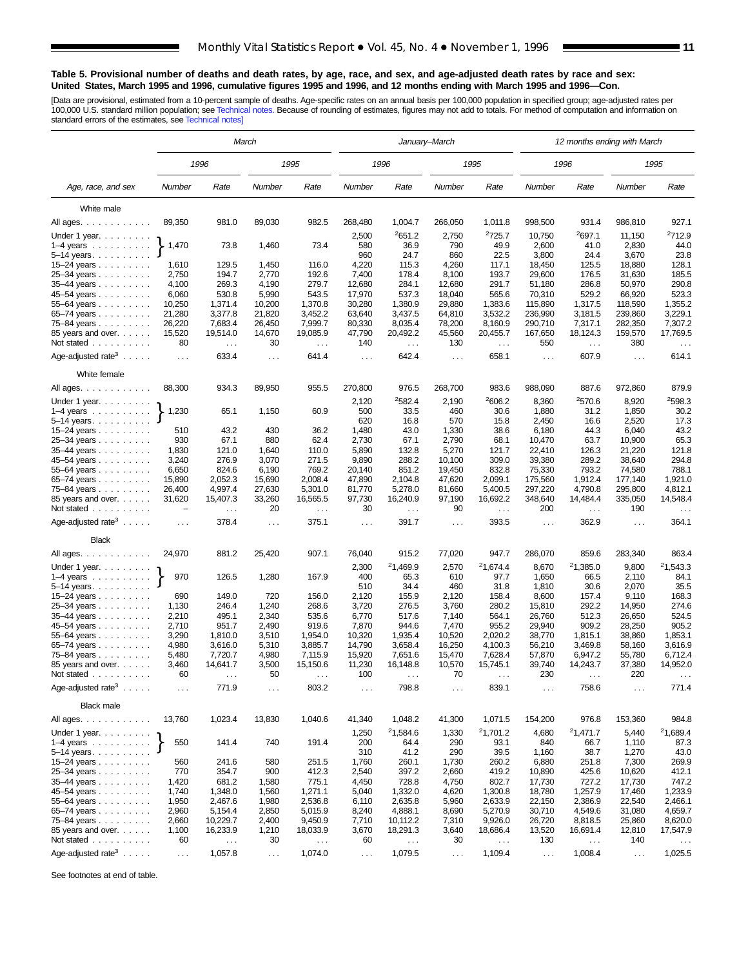### **Table 5. Provisional number of deaths and death rates, by age, race, and sex, and age-adjusted death rates by race and sex: United States, March 1995 and 1996, cumulative figures 1995 and 1996, and 12 months ending with March 1995 and 1996—Con.**

[Data are provisional, estimated from a 10-percent sample of deaths. Age-specific rates on an annual basis per 100,000 population in specified group; age-adjusted rates per<br>100,000 U.S. standard million population; see Tec

|                                                 | March         |                           |               |                           |                      |                                  | January–March        |                      | 12 months ending with March |                           |                  |                                  |  |
|-------------------------------------------------|---------------|---------------------------|---------------|---------------------------|----------------------|----------------------------------|----------------------|----------------------|-----------------------------|---------------------------|------------------|----------------------------------|--|
|                                                 |               | 1996                      |               | 1995                      |                      | 1996                             |                      | 1995                 |                             | 1996                      |                  | 1995                             |  |
| Age, race, and sex                              | Number        | Rate                      | Number        | Rate                      | Number               | Rate                             | Number               | Rate                 | Number                      | Rate                      | Number           | Rate                             |  |
| White male                                      |               |                           |               |                           |                      |                                  |                      |                      |                             |                           |                  |                                  |  |
| All ages.                                       | 89,350        | 981.0                     | 89,030        | 982.5                     | 268,480              | 1,004.7                          | 266,050              | 1,011.8              | 998,500                     | 931.4                     | 986,810          | 927.1                            |  |
|                                                 |               |                           |               |                           | 2,500                | 2651.2                           | 2,750                | 2725.7               | 10,750                      | 2697.1                    | 11,150           | <sup>2</sup> 712.9               |  |
| Under 1 year.<br>$1-4$ years $\ldots$           | 1,470         | 73.8                      | 1,460         | 73.4                      | 580                  | 36.9                             | 790                  | 49.9                 | 2,600                       | 41.0                      | 2,830            | 44.0                             |  |
| 5–14 years                                      |               |                           |               |                           | 960                  | 24.7                             | 860                  | 22.5                 | 3,800                       | 24.4                      | 3,670            | 23.8                             |  |
| 15-24 years                                     | 1,610         | 129.5                     | 1,450         | 116.0                     | 4,220                | 115.3                            | 4,260                | 117.1                | 18,450                      | 125.5                     | 18,880           | 128.1                            |  |
| 25–34 years                                     | 2,750         | 194.7                     | 2,770         | 192.6                     | 7,400                | 178.4                            | 8,100                | 193.7                | 29,600                      | 176.5                     | 31,630           | 185.5                            |  |
| 35-44 years                                     | 4,100         | 269.3                     | 4,190         | 279.7                     | 12,680               | 284.1                            | 12,680               | 291.7                | 51,180                      | 286.8                     | 50,970           | 290.8                            |  |
| 45–54 years                                     | 6,060         | 530.8                     | 5,990         | 543.5                     | 17,970               | 537.3                            | 18,040               | 565.6                | 70,310                      | 529.2                     | 66,920           | 523.3                            |  |
| $55 - 64$ years $\ldots$                        | 10,250        | 1,371.4                   | 10,200        | 1,370.8                   | 30,280               | 1,380.9                          | 29,880               | 1,383.6              | 115,890                     | 1,317.5                   | 118,590          | 1,355.2                          |  |
| 65–74 years                                     | 21,280        | 3,377.8                   | 21,820        | 3,452.2                   | 63,640               | 3,437.5                          | 64,810               | 3,532.2              | 236,990                     | 3,181.5                   | 239,860          | 3,229.1                          |  |
| 75-84 years                                     | 26,220        | 7,683.4                   | 26,450        | 7,999.7                   | 80,330               | 8,035.4                          | 78,200               | 8,160.9              | 290,710                     | 7,317.1                   | 282,350          | 7,307.2                          |  |
| 85 years and over.                              | 15,520        | 19,514.0                  | 14,670        | 19,085.9                  | 47,790               | 20,492.2                         | 45,560               | 20,455.7             | 167,650                     | 18,124.3                  | 159,570          | 17,769.5                         |  |
| Not stated                                      | 80            | $\sim$ $\sim$             | 30            | $\ldots$                  | 140                  | $\sim$ .                         | 130                  | $\sim$ $\sim$        | 550                         | $\ldots$                  | 380              | $\sim$ $\sim$                    |  |
| Age-adjusted rate <sup>3</sup> $\ldots$ .       | $\sim$ .      | 633.4                     | $\cdots$      | 641.4                     | $\sim$ $\sim$        | 642.4                            | $\ldots$             | 658.1                | $\sim$ $\sim$               | 607.9                     | $\sim$ $\sim$    | 614.1                            |  |
| White female                                    |               |                           |               |                           |                      |                                  |                      |                      |                             |                           |                  |                                  |  |
| All ages.                                       | 88,300        | 934.3                     | 89,950        | 955.5                     | 270,800              | 976.5                            | 268,700              | 983.6                | 988,090                     | 887.6                     | 972,860          | 879.9                            |  |
| Under 1 year. $\ldots$                          |               |                           |               |                           | 2,120                | 2582.4                           | 2,190                | 2606.2               | 8,360                       | 2570.6                    | 8,920            | 2598.3                           |  |
| 1–4 years $\ldots \ldots \ldots$                | 1,230         | 65.1                      | 1,150         | 60.9                      | 500                  | 33.5                             | 460                  | 30.6                 | 1,880                       | 31.2                      | 1,850            | 30.2                             |  |
| $5-14$ years                                    |               |                           |               |                           | 620                  | 16.8                             | 570                  | 15.8                 | 2,450                       | 16.6                      | 2,520            | 17.3                             |  |
| 15–24 years $\ldots$                            | 510           | 43.2                      | 430           | 36.2                      | 1,480                | 43.0                             | 1,330                | 38.6                 | 6,180                       | 44.3                      | 6,040            | 43.2                             |  |
| 25-34 years                                     | 930<br>1,830  | 67.1<br>121.0             | 880<br>1,640  | 62.4<br>110.0             | 2,730<br>5,890       | 67.1<br>132.8                    | 2,790<br>5,270       | 68.1<br>121.7        | 10,470<br>22,410            | 63.7<br>126.3             | 10,900<br>21,220 | 65.3<br>121.8                    |  |
| 35-44 years<br>45–54 years                      | 3,240         | 276.9                     | 3,070         | 271.5                     | 9,890                | 288.2                            | 10,100               | 309.0                | 39,380                      | 289.2                     | 38,640           | 294.8                            |  |
| 55-64 years                                     | 6,650         | 824.6                     | 6,190         | 769.2                     | 20,140               | 851.2                            | 19,450               | 832.8                | 75,330                      | 793.2                     | 74,580           | 788.1                            |  |
| 65–74 years                                     | 15,890        | 2,052.3                   | 15,690        | 2,008.4                   | 47,890               | 2,104.8                          | 47,620               | 2,099.1              | 175,560                     | 1,912.4                   | 177,140          | 1,921.0                          |  |
| 75-84 years                                     | 26,400        | 4,997.4                   | 27,630        | 5,301.0                   | 81,770               | 5,278.0                          | 81,660               | 5,400.5              | 297,220                     | 4,790.8                   | 295,800          | 4,812.1                          |  |
| 85 years and over.<br>Not stated                | 31,620        | 15,407.3<br>$\sim$ $\sim$ | 33,260<br>20  | 16,565.5<br>$\sim$ $\sim$ | 97,730<br>30         | 16,240.9<br>$\sim$ $\sim$ $\sim$ | 97,190<br>90         | 16,692.2<br>$\ldots$ | 348,640<br>200              | 14,484.4<br>$\sim$ $\sim$ | 335,050<br>190   | 14,548.4<br>$\sim$ $\sim$ $\sim$ |  |
| Age-adjusted $\text{rate}^3$                    | $\cdots$      | 378.4                     | $\cdots$      | 375.1                     | $\cdots$             | 391.7                            | $\cdots$             | 393.5                | $\ddotsc$                   | 362.9                     | $\cdots$         | 364.1                            |  |
| <b>Black</b>                                    |               |                           |               |                           |                      |                                  |                      |                      |                             |                           |                  |                                  |  |
| All ages.                                       | 24,970        | 881.2                     | 25,420        | 907.1                     | 76,040               | 915.2                            | 77,020               | 947.7                | 286,070                     | 859.6                     | 283,340          | 863.4                            |  |
| Under 1 year.                                   |               |                           |               |                           | 2,300                | <sup>2</sup> 1,469.9             | 2,570                | <sup>2</sup> 1,674.4 | 8,670                       | <sup>2</sup> 1,385.0      | 9,800            | 21,543.3                         |  |
| $1-4$ years $\ldots$ $\ldots$ .<br>5-14 years.  | 970           | 126.5                     | 1,280         | 167.9                     | 400<br>510           | 65.3<br>34.4                     | 610<br>460           | 97.7<br>31.8         | 1,650<br>1,810              | 66.5<br>30.6              | 2,110<br>2,070   | 84.1<br>35.5                     |  |
| 15-24 years                                     | 690           | 149.0                     | 720           | 156.0                     | 2,120                | 155.9                            | 2,120                | 158.4                | 8,600                       | 157.4                     | 9,110            | 168.3                            |  |
| 25-34 years                                     | 1,130         | 246.4                     | 1,240         | 268.6                     | 3,720                | 276.5                            | 3,760                | 280.2                | 15,810                      | 292.2                     | 14,950           | 274.6                            |  |
| 35-44 years                                     | 2,210         | 495.1                     | 2,340         | 535.6                     | 6,770                | 517.6                            | 7,140                | 564.1                | 26,760                      | 512.3                     | 26,650           | 524.5                            |  |
| 45-54 years                                     | 2,710         | 951.7                     | 2,490         | 919.6                     | 7,870                | 944.6                            | 7,470                | 955.2                | 29,940                      | 909.2                     | 28,250           | 905.2                            |  |
| 55-64 years                                     | 3,290         | 1,810.0                   | 3,510         | 1,954.0                   | 10,320               | 1,935.4                          | 10,520               | 2,020.2              | 38,770                      | 1,815.1                   | 38,860           | 1,853.1                          |  |
| 65-74 years                                     | 4,980         | 3,616.0                   | 5,310         | 3,885.7                   | 14,790               | 3,658.4                          | 16,250               | 4,100.3              | 56,210                      | 3,469.8                   | 58,160           | 3,616.9                          |  |
| 75–84 years                                     | 5,480         | 7,720.7                   | 4,980         | 7,115.9                   | 15,920               | 7,651.6                          | 15,470               | 7,628.4              | 57,870                      | 6,947.2                   | 55,780           | 6,712.4                          |  |
| 85 years and over.                              | 3,460         | 14,641.7                  | 3,500         | 15,150.6                  | 11,230               | 16,148.8                         | 10,570               | 15,745.1             | 39,740                      | 14,243.7                  | 37,380           | 14,952.0                         |  |
| Not stated $\ldots$ , $\ldots$                  | 60            |                           | 50            |                           | 100                  |                                  | 70                   |                      | 230                         |                           | 220              | $\cdots$                         |  |
| Age-adjusted rate <sup>3</sup> $\ldots$ .       | $\sim$ $\sim$ | 771.9                     | $\sim$        | 803.2                     | $\sim$ $\sim$ $\sim$ | 798.8                            | $\sim$ $\sim$ $\sim$ | 839.1                | $\sim$ $\sim$ $\sim$        | 758.6                     | $\sim$ $\sim$    | 771.4                            |  |
| <b>Black male</b>                               |               |                           |               |                           |                      |                                  |                      |                      |                             |                           |                  |                                  |  |
| All ages.                                       | 13,760        | 1,023.4                   | 13,830        | 1,040.6                   | 41,340<br>1,250      | 1,048.2<br>21,584.6              | 41,300<br>1,330      | 1,071.5<br>21,701.2  | 154,200<br>4,680            | 976.8<br>21,471.7         | 153,360<br>5,440 | 984.8<br>21,689.4                |  |
| Under 1 year.<br>$1-4$ years<br>$5 - 14$ years. | 550           | 141.4                     | 740           | 191.4                     | 200<br>310           | 64.4<br>41.2                     | 290<br>290           | 93.1<br>39.5         | 840<br>1,160                | 66.7<br>38.7              | 1,110<br>1,270   | 87.3<br>43.0                     |  |
| 15–24 years                                     | 560           | 241.6                     | 580           | 251.5                     | 1,760                | 260.1                            | 1,730                | 260.2                | 6,880                       | 251.8                     | 7,300            | 269.9                            |  |
| 25-34 years                                     | 770           | 354.7                     | 900           | 412.3                     | 2,540                | 397.2                            | 2,660                | 419.2                | 10,890                      | 425.6                     | 10,620           | 412.1                            |  |
| 35-44 years                                     | 1,420         | 681.2                     | 1,580         | 775.1                     | 4,450                | 728.8                            | 4,750                | 802.7                | 17,730                      | 727.2                     | 17,730           | 747.2                            |  |
| 45-54 years                                     | 1,740         | 1,348.0                   | 1,560         | 1,271.1                   | 5,040                | 1,332.0                          | 4,620                | 1,300.8              | 18,780                      | 1,257.9                   | 17,460           | 1,233.9                          |  |
| 55-64 years                                     | 1,950         | 2,467.6                   | 1,980         | 2,536.8                   | 6,110                | 2,635.8                          | 5,960                | 2,633.9              | 22,150                      | 2,386.9                   | 22,540           | 2,466.1                          |  |
| 65-74 years                                     | 2,960         | 5,154.4                   | 2,850         | 5,015.9                   | 8,240                | 4,888.1                          | 8,690                | 5,270.9              | 30,710                      | 4,549.6                   | 31,080           | 4,659.7                          |  |
| 75-84 years                                     | 2,660         | 10,229.7                  | 2,400         | 9,450.9                   | 7,710                | 10,112.2                         | 7,310                | 9,926.0              | 26,720                      | 8,818.5                   | 25,860           | 8,620.0                          |  |
| 85 years and over.                              | 1,100         | 16,233.9                  | 1,210         | 18,033.9                  | 3,670                | 18,291.3                         | 3,640                | 18,686.4             | 13,520                      | 16,691.4                  | 12,810           | 17,547.9                         |  |
| Not stated                                      | 60            | $\sim$ $\sim$             | 30            | $\sim$ $\sim$             | 60                   | $\sim$ $\sim$                    | 30                   | $\sim$ $\sim$        | 130                         | $\sim$ $\sim$             | 140              | $\sim$ $\sim$                    |  |
| Age-adjusted rate <sup>3</sup>                  | $\sim$ $\sim$ | 1,057.8                   | $\sim$ $\sim$ | 1,074.0                   | $\sim$ $\sim$        | 1,079.5                          | $\sim$ .             | 1,109.4              | $\sim$ $\sim$               | 1,008.4                   | $\cdots$         | 1,025.5                          |  |

See footnotes at end of table.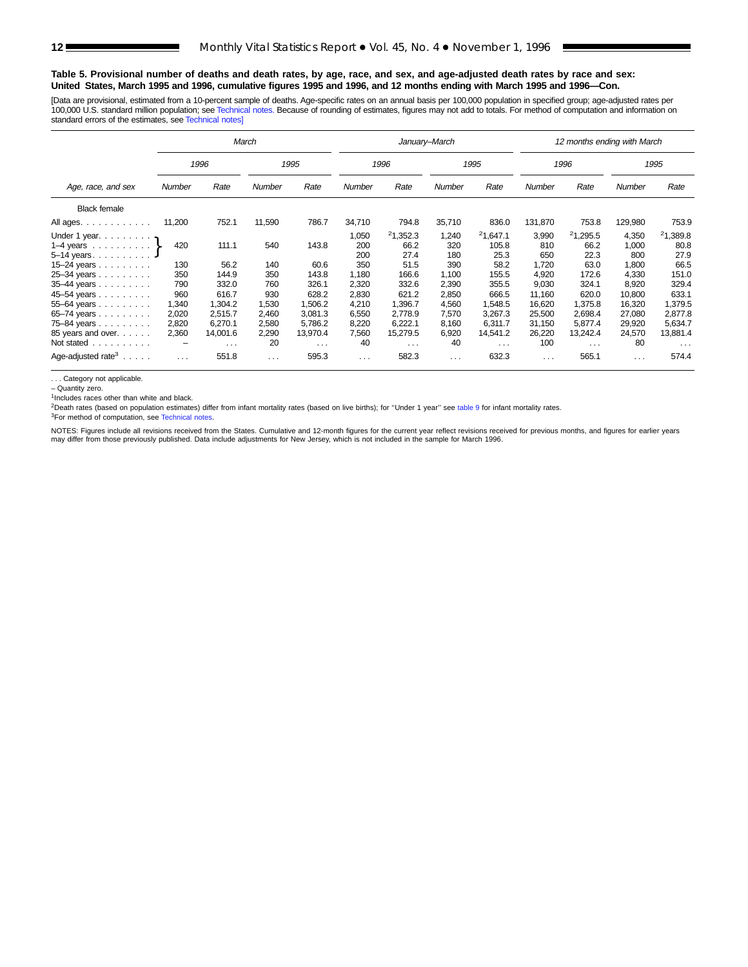### **Table 5. Provisional number of deaths and death rates, by age, race, and sex, and age-adjusted death rates by race and sex: United States, March 1995 and 1996, cumulative figures 1995 and 1996, and 12 months ending with March 1995 and 1996—Con.**

[Data are provisional, estimated from a 10-percent sample of deaths. Age-specific rates on an annual basis per 100,000 population in specified group; age-adjusted rates per 100,000 U.S. standard million population; see [Technical notes.](#page-16-0) Because of rounding of estimates, figures may not add to totals. For method of computation and information on standard errors of the estimates, see [Technical notes\]](#page-16-0)

|                                                                                                     |                                  |                                           | March                            |                                           |                                  |                                           | January-March                    |                                           |                                      | 12 months ending with March               |                                      |                                           |
|-----------------------------------------------------------------------------------------------------|----------------------------------|-------------------------------------------|----------------------------------|-------------------------------------------|----------------------------------|-------------------------------------------|----------------------------------|-------------------------------------------|--------------------------------------|-------------------------------------------|--------------------------------------|-------------------------------------------|
|                                                                                                     |                                  | 1996                                      |                                  | 1995                                      |                                  | 1996                                      |                                  | 1995                                      |                                      | 1996                                      |                                      | 1995                                      |
| Age, race, and sex                                                                                  | Number                           | Rate                                      | <b>Number</b>                    | Rate                                      | <b>Number</b>                    | Rate                                      | <b>Number</b>                    | Rate                                      | Number                               | Rate                                      | <b>Number</b>                        | Rate                                      |
| <b>Black female</b>                                                                                 |                                  |                                           |                                  |                                           |                                  |                                           |                                  |                                           |                                      |                                           |                                      |                                           |
| All ages.                                                                                           | 11,200                           | 752.1                                     | 11,590                           | 786.7                                     | 34,710                           | 794.8                                     | 35,710                           | 836.0                                     | 131,870                              | 753.8                                     | 129,980                              | 753.9                                     |
| Under 1 year. $\ldots$<br>1–4 years $\ldots \ldots \ldots$<br>5-14 years. J<br>15–24 years $\ldots$ | 420<br>130                       | 111.1<br>56.2                             | 540<br>140                       | 143.8<br>60.6                             | 1,050<br>200<br>200<br>350       | 21,352.3<br>66.2<br>27.4<br>51.5          | 1,240<br>320<br>180<br>390       | 21,647.1<br>105.8<br>25.3<br>58.2         | 3,990<br>810<br>650<br>1,720         | 21,295.5<br>66.2<br>22.3<br>63.0          | 4,350<br>1,000<br>800<br>1,800       | 21,389.8<br>80.8<br>27.9<br>66.5          |
| 25-34 years<br>35-44 years<br>45-54 years                                                           | 350<br>790<br>960                | 144.9<br>332.0<br>616.7                   | 350<br>760<br>930                | 143.8<br>326.1<br>628.2                   | 1,180<br>2,320<br>2,830          | 166.6<br>332.6<br>621.2                   | 1.100<br>2,390<br>2,850          | 155.5<br>355.5<br>666.5                   | 4.920<br>9,030<br>11,160             | 172.6<br>324.1<br>620.0                   | 4,330<br>8,920<br>10,800             | 151.0<br>329.4<br>633.1                   |
| 55-64 years<br>65-74 years<br>75-84 years<br>85 years and over.                                     | 1,340<br>2,020<br>2,820<br>2,360 | 1,304.2<br>2,515.7<br>6.270.1<br>14,001.6 | 1,530<br>2,460<br>2,580<br>2,290 | 1,506.2<br>3,081.3<br>5.786.2<br>13,970.4 | 4,210<br>6,550<br>8,220<br>7,560 | 1,396.7<br>2,778.9<br>6,222.1<br>15,279.5 | 4,560<br>7,570<br>8.160<br>6,920 | 1.548.5<br>3,267.3<br>6.311.7<br>14,541.2 | 16,620<br>25,500<br>31,150<br>26,220 | 1.375.8<br>2,698.4<br>5.877.4<br>13,242.4 | 16,320<br>27,080<br>29,920<br>24,570 | 1,379.5<br>2,877.8<br>5,634.7<br>13,881.4 |
| Not stated<br>Age-adjusted rate <sup>3</sup> $\ldots$ .                                             | $\qquad \qquad -$<br>$\cdots$    | $\sim$ $\sim$ $\sim$<br>551.8             | 20<br>$\cdots$                   | $\sim$ $\sim$ $\sim$<br>595.3             | 40<br>$\cdots$                   | $\cdots$<br>582.3                         | 40<br>$\cdots$                   | $\sim$ $\sim$ $\sim$<br>632.3             | 100<br>$\cdots$                      | $\sim$ $\sim$ $\sim$<br>565.1             | 80<br>$\cdots$                       | $\sim$ $\sim$ $\sim$<br>574.4             |

. . . Category not applicable.

– Quantity zero.

<sup>1</sup>Includes races other than white and black.

<sup>2</sup>Death rates (based on population estimates) differ from infant mortality rates (based on live births); for "Under 1 year" see [table 9](#page-15-0) for infant mortality rates.

<sup>3</sup>For method of computation, see [Technical notes.](#page-16-0)

NOTES: Figures include all revisions received from the States. Cumulative and 12-month figures for the current year reflect revisions received for previous months, and figures for earlier years<br>may differ from those previo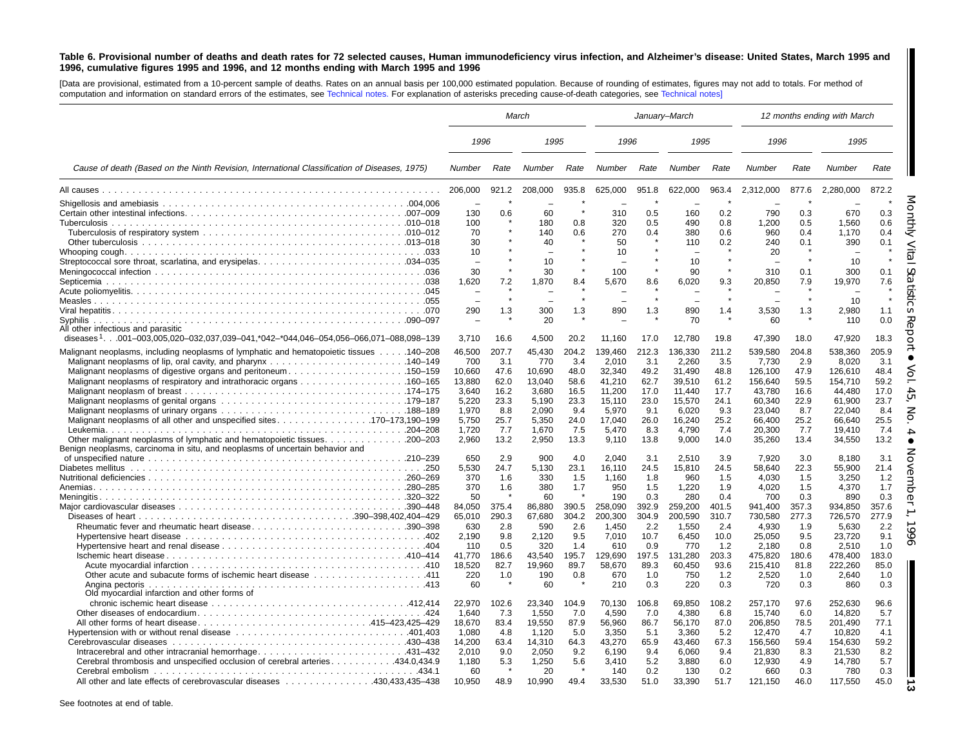### <span id="page-12-0"></span>Table 6. Provisional number of deaths and death rates for 72 selected causes, Human immunodeficiency virus infection, and Alzheimer's disease: United States, March 1995 and 1996, cumulative figures 1995 and 1996, and 12 months ending with March 1995 and 1996

[Data are provisional, estimated from <sup>a</sup> 10-percent sample of deaths. Rates on an annual basis per 100,000 estimated population. Because of rounding of estimates, figures may not add to totals. For method of computation and information on standard errors of the estimates, see [Technical](#page-16-0) notes. For explanation of asterisks preceding cause-of-death categories, see [Technical](#page-16-0) notes]

|                                                                                                 |                                 | March   |                          | January-March |         |       |         | 12 months ending with March |               |       |               |         |
|-------------------------------------------------------------------------------------------------|---------------------------------|---------|--------------------------|---------------|---------|-------|---------|-----------------------------|---------------|-------|---------------|---------|
|                                                                                                 | 1996                            |         | 1995                     |               | 1996    |       | 1995    |                             | 1996          |       | 1995          |         |
| Cause of death (Based on the Ninth Revision, International Classification of Diseases, 1975)    | Number                          | Rate    | Number                   | Rate          | Number  | Rate  | Number  | Rate                        | <b>Number</b> | Rate  | <b>Number</b> | Rate    |
|                                                                                                 | 206,000                         | 921.2   | 208,000                  | 935.8         | 625,000 | 951.8 | 622,000 | 963.4                       | 2,312,000     | 877.6 | 2,280,000     | 872.2   |
|                                                                                                 | $\overline{\phantom{a}}$<br>130 | 0.6     | 60                       |               | 310     | 0.5   | 160     | 0.2                         | 790           | 0.3   | 670           | 0.3     |
|                                                                                                 | 100                             |         | 180                      | 0.8           | 320     | 0.5   | 490     | 0.8                         | 1.200         | 0.5   | 1,560         | 0.6     |
|                                                                                                 | 70                              |         | 140                      | 0.6           | 270     | 0.4   | 380     | 0.6                         | 960           | 0.4   | 1,170         | 0.4     |
|                                                                                                 | 30                              |         | 40                       |               | 50      |       | 110     | 0.2                         | 240           | 0.1   | 390           | 0.1     |
|                                                                                                 | 10                              |         |                          |               | 10      |       |         |                             | 20            |       |               |         |
|                                                                                                 |                                 |         | 10                       |               |         |       | 10      |                             |               |       | 10            |         |
|                                                                                                 | 30                              |         | 30                       |               | 100     |       | 90      |                             | 310           | 0.1   | 300           | 0.1     |
|                                                                                                 | 1,620                           | 7.2     | 1,870                    | 8.4           | 5,670   | 8.6   | 6,020   | 9.3                         | 20,850        | 7.9   | 19,970        | 7.6     |
|                                                                                                 |                                 |         |                          |               |         |       |         |                             |               |       |               |         |
|                                                                                                 | $\equiv$                        | $\star$ | $\overline{\phantom{0}}$ |               |         |       |         |                             |               |       | 10            | $\star$ |
|                                                                                                 | 290                             | 1.3     | 300                      | 1.3           | 890     | 1.3   | 890     | 1.4                         | 3,530         | 1.3   | 2,980         | 1.1     |
|                                                                                                 |                                 |         | 20                       |               |         |       | 70      |                             | 60            |       | 110           | 0.0     |
| All other infectious and parasitic                                                              |                                 |         |                          |               |         |       |         |                             |               |       |               |         |
| diseases <sup>1</sup> 001–003,005,020–032,037,039–041,*042–*044,046–054,056–066,071–088,098–139 | 3,710                           | 16.6    | 4,500                    | 20.2          | 11,160  | 17.0  | 12,780  | 19.8                        | 47,390        | 18.0  | 47,920        | 18.3    |
|                                                                                                 |                                 |         |                          |               |         |       |         |                             |               |       |               |         |
| Malignant neoplasms, including neoplasms of lymphatic and hematopoietic tissues  140-208        | 46,500                          | 207.7   | 45,430                   | 204.2         | 139,460 | 212.3 | 136,330 | 211.2                       | 539,580       | 204.8 | 538,360       | 205.9   |
|                                                                                                 | 700                             | 3.1     | 770                      | 3.4           | 2,010   | 3.1   | 2,260   | 3.5                         | 7,730         | 2.9   | 8,020         | 3.1     |
| Malignant neoplasms of digestive organs and peritoneum150–159                                   | 10,660                          | 47.6    | 10,690                   | 48.0          | 32,340  | 49.2  | 31,490  | 48.8                        | 126,100       | 47.9  | 126,610       | 48.4    |
|                                                                                                 | 13,880                          | 62.0    | 13,040                   | 58.6          | 41,210  | 62.7  | 39,510  | 61.2                        | 156,640       | 59.5  | 154,710       | 59.2    |
|                                                                                                 | 3,640                           | 16.2    | 3,680                    | 16.5          | 11,200  | 17.0  | 11,440  | 17.7                        | 43,780        | 16.6  | 44,480        | 17.0    |
|                                                                                                 | 5,220                           | 23.3    | 5,190                    | 23.3          | 15,110  | 23.0  | 15,570  | 24.1                        | 60,340        | 22.9  | 61,900        | 23.7    |
|                                                                                                 | 1,970                           | 8.8     | 2,090                    | 9.4           | 5,970   | 9.1   | 6,020   | 9.3                         | 23,040        | 8.7   | 22,040        | 8.4     |
|                                                                                                 | 5,750                           | 25.7    | 5,350                    | 24.0          | 17,040  | 26.0  | 16,240  | 25.2                        | 66,400        | 25.2  | 66,640        | 25.5    |
|                                                                                                 | 1,720                           | 7.7     | 1,670                    | 7.5           | 5,470   | 8.3   | 4,790   | 7.4                         | 20,300        | 7.7   | 19,410        | 7.4     |
|                                                                                                 | 2,960                           | 13.2    | 2,950                    | 13.3          | 9,110   | 13.8  | 9,000   | 14.0                        | 35,260        | 13.4  | 34,550        | 13.2    |
| Benign neoplasms, carcinoma in situ, and neoplasms of uncertain behavior and                    |                                 |         |                          |               |         |       |         |                             |               |       |               |         |
|                                                                                                 | 650                             | 2.9     | 900                      | 4.0           | 2.040   | 3.1   | 2.510   | 3.9                         | 7.920         | 3.0   | 8.180         | 3.1     |
|                                                                                                 | 5,530                           | 24.7    | 5,130                    | 23.1          | 16,110  | 24.5  | 15,810  | 24.5                        | 58,640        | 22.3  | 55,900        | 21.4    |
|                                                                                                 | 370                             | 1.6     | 330                      | 1.5           | 1,160   | 1.8   | 960     | 1.5                         | 4.030         | 1.5   | 3.250         | 1.2     |
|                                                                                                 | 370                             | 1.6     | 380                      | 1.7           | 950     | 1.5   | 1.220   | 1.9                         | 4.020         | 1.5   | 4.370         | 1.7     |
|                                                                                                 | 50                              |         | 60                       |               | 190     | 0.3   | 280     | 0.4                         | 700           | 0.3   | 890           | 0.3     |
|                                                                                                 | 84,050                          | 375.4   | 86,880                   | 390.5         | 258,090 | 392.9 | 259,200 | 401.5                       | 941,400       | 357.3 | 934,850       | 357.6   |
|                                                                                                 | 65.010                          | 290.3   | 67.680                   | 304.2         | 200,300 | 304.9 | 200.590 | 310.7                       | 730.580       | 277.3 | 726.570       | 277.9   |
| Rheumatic fever and rheumatic heart disease390–398                                              | 630                             | 2.8     | 590                      | 2.6           | 1.450   | 2.2   | 1.550   | 2.4                         | 4.930         | 1.9   | 5.630         | 2.2     |
|                                                                                                 | 2,190                           | 9.8     | 2,120                    | 9.5           | 7,010   | 10.7  | 6,450   | 10.0                        | 25,050        | 9.5   | 23,720        | 9.1     |
|                                                                                                 | 110                             | 0.5     | 320                      | 1.4           | 610     | 0.9   | 770     | 1.2                         | 2.180         | 0.8   | 2.510         | 1.0     |
|                                                                                                 | 41.770                          | 186.6   | 43.540                   | 195.7         | 129.690 | 197.5 | 131.280 | 203.3                       | 475.820       | 180.6 | 478.400       | 183.0   |
|                                                                                                 | 18.520                          | 82.7    | 19.960                   | 89.7          | 58.670  | 89.3  | 60.450  | 93.6                        | 215.410       | 81.8  | 222.260       | 85.0    |
|                                                                                                 | 220                             | 1.0     | 190                      | 0.8           | 670     | 1.0   | 750     | 1.2                         | 2,520         | 1.0   | 2,640         | 1.0     |
|                                                                                                 | 60                              |         | 60                       |               | 210     | 0.3   | 220     | 0.3                         | 720           | 0.3   | 860           | 0.3     |
| Old myocardial infarction and other forms of                                                    |                                 |         |                          |               |         |       |         |                             |               |       |               |         |
|                                                                                                 | 22.970                          | 102.6   | 23,340                   | 104.9         | 70.130  | 106.8 | 69.850  | 108.2                       | 257.170       | 97.6  | 252,630       | 96.6    |
|                                                                                                 | 1,640                           | 7.3     | 1,550                    | 7.0           | 4,590   | 7.0   | 4,380   | 6.8                         | 15,740        | 6.0   | 14,820        | 5.7     |
|                                                                                                 | 18.670                          | 83.4    | 19,550                   | 87.9          | 56,960  | 86.7  | 56,170  | 87.0                        | 206,850       | 78.5  | 201.490       | 77.1    |
|                                                                                                 | 1.080                           | 4.8     | 1,120                    | 5.0           | 3,350   | 5.1   | 3,360   | 5.2                         | 12,470        | 4.7   | 10.820        | 4.1     |
|                                                                                                 | 14,200                          | 63.4    | 14,310                   | 64.3          | 43,270  | 65.9  | 43,460  | 67.3                        | 156,560       | 59.4  | 154,630       | 59.2    |
|                                                                                                 | 2,010                           | 9.0     | 2,050                    | 9.2           | 6,190   | 9.4   | 6,060   | 9.4                         | 21,830        | 8.3   | 21,530        | 8.2     |
| Cerebral thrombosis and unspecified occlusion of cerebral arteries 434.0,434.9                  | 1,180                           | 5.3     | 1,250                    | 5.6           | 3,410   | 5.2   | 3.880   | 6.0                         | 12,930        | 4.9   | 14.780        | 5.7     |
|                                                                                                 | 60                              |         | 20                       |               | 140     | 0.2   | 130     | 0.2                         | 660           | 0.3   | 780           | 0.3     |
|                                                                                                 |                                 |         |                          |               |         |       |         |                             |               |       |               |         |
| All other and late effects of cerebrovascular diseases 430,433,435–438                          | 10,950                          | 48.9    | 10,990                   | 49.4          | 33,530  | 51.0  | 33,390  | 51.7                        | 121,150       | 46.0  | 117,550       | 45.0    |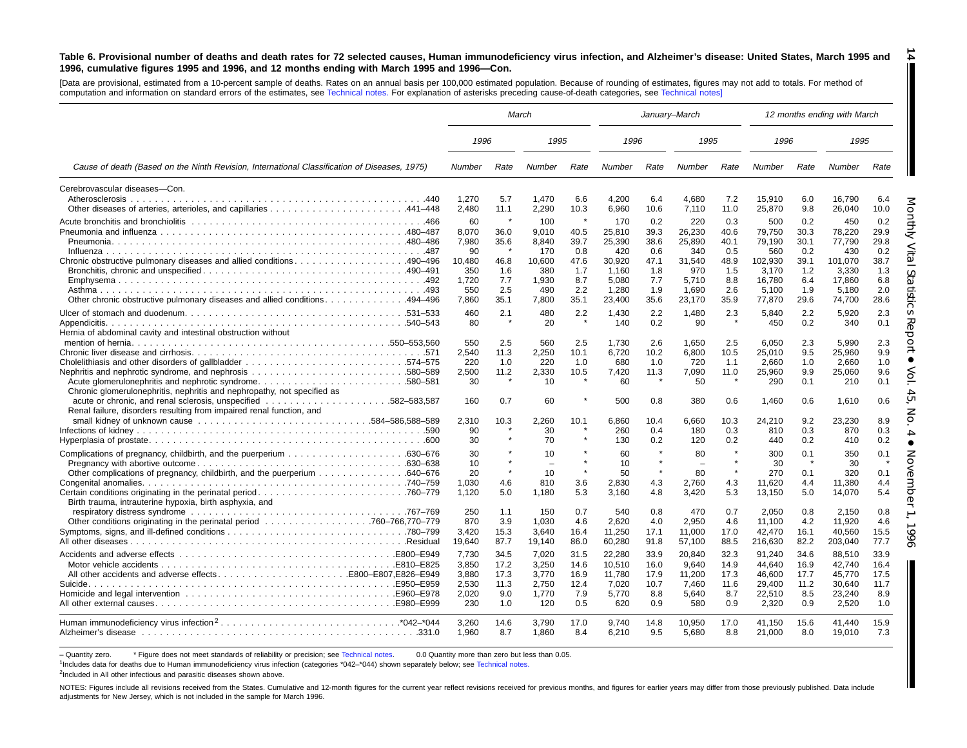#### Table 6. Provisional number of deaths and death rates for 72 selected causes, Human immunodeficiency virus infection, and Alzheimer's disease: United States, March 1995 and 1996, cumulative figures 1995 and 1996, and 12 months ending with March 1995 and 1996-Con. **14**

[Data are provisional, estimated from <sup>a</sup> 10-percent sample of deaths. Rates on an annual basis per 100,000 estimated population. Because of rounding of estimates, figures may not add to totals. For method of computation and information on standard errors of the estimates, see [Technical](#page-16-0) notes. For explanation of asterisks preceding cause-of-death categories, see [Technical](#page-16-0) notes]

|                                                                                                                                                 | March                              |                                       |                                             |                              |                                      | January-March                                  |                                      |                            |                                           |                                 | 12 months ending with March               |                                 |
|-------------------------------------------------------------------------------------------------------------------------------------------------|------------------------------------|---------------------------------------|---------------------------------------------|------------------------------|--------------------------------------|------------------------------------------------|--------------------------------------|----------------------------|-------------------------------------------|---------------------------------|-------------------------------------------|---------------------------------|
|                                                                                                                                                 | 1996                               |                                       | 1995                                        |                              | 1996                                 |                                                | 1995                                 |                            | 1996                                      |                                 | 1995                                      |                                 |
| Cause of death (Based on the Ninth Revision, International Classification of Diseases, 1975)                                                    | Number                             | Rate                                  | Number                                      | Rate                         | Number                               | Rate                                           | Number                               | Rate                       | Number                                    | Rate                            | Number                                    | Rate                            |
| Cerebrovascular diseases-Con.<br>Atherosclerosis                                                                                                | 1.270                              | 5.7                                   | 1.470                                       | 6.6                          | 4.200                                | 6.4                                            | 4.680                                | 7.2                        | 15,910                                    | 6.0                             | 16.790                                    | 6.4                             |
|                                                                                                                                                 | 2,480                              | 11.1                                  | 2,290                                       | 10.3                         | 6,960                                | 10.6                                           | 7,110                                | 11.0                       | 25,870                                    | 9.8                             | 26,040                                    | 10.0                            |
|                                                                                                                                                 | 60<br>8.070<br>7,980               | -8<br>36.0<br>35.6                    | 100<br>9,010<br>8,840                       | $\pmb{\ast}$<br>40.5<br>39.7 | 170<br>25,810<br>25,390              | 0.2<br>39.3<br>38.6                            | 220<br>26,230<br>25,890              | 0.3<br>40.6<br>40.1        | 500<br>79,750<br>79,190                   | 0.2<br>30.3<br>30.1             | 450<br>78,220<br>77,790                   | 0.2<br>29.9<br>29.8             |
| Chronic obstructive pulmonary diseases and allied conditions490-496                                                                             | 90<br>10,480<br>350<br>1,720       | 46.8<br>1.6<br>7.7                    | 170<br>10,600<br>380<br>1,930               | 0.8<br>47.6<br>1.7<br>8.7    | 420<br>30,920<br>1.160<br>5,080      | 0.6<br>47.1<br>1.8<br>7.7                      | 340<br>31,540<br>970<br>5,710        | 0.5<br>48.9<br>1.5<br>8.8  | 560<br>102,930<br>3,170<br>16,780         | 0.2<br>39.1<br>1.2<br>6.4       | 430<br>101,070<br>3.330<br>17,860         | 0.2<br>38.7<br>1.3<br>6.8       |
| 0ther chronic obstructive pulmonary diseases and allied conditions494–496                                                                       | 550<br>7,860                       | 2.5<br>35.1                           | 490<br>7,800                                | 2.2<br>35.1                  | 1.280<br>23,400                      | 1.9<br>35.6                                    | 1.690<br>23,170                      | 2.6<br>35.9                | 5.100<br>77,870                           | 1.9<br>29.6                     | 5.180<br>74,700                           | 2.0<br>28.6                     |
| Hernia of abdominal cavity and intestinal obstruction without                                                                                   | 460<br>80                          | 2.1                                   | 480<br>20                                   | 2.2                          | 1.430<br>140                         | 2.2<br>0.2                                     | 1.480<br>90                          | 2.3                        | 5,840<br>450                              | 2.2<br>0.2                      | 5.920<br>340                              | 2.3<br>0.1                      |
|                                                                                                                                                 | 550<br>2,540<br>220<br>2.500<br>30 | 2.5<br>11.3<br>1.0<br>11.2<br>$\star$ | 560<br>2,250<br>220<br>2.330<br>10          | 2.5<br>10.1<br>1.0<br>10.5   | 1.730<br>6.720<br>680<br>7.420<br>60 | 2.6<br>10.2<br>1.0<br>11.3                     | 1.650<br>6,800<br>720<br>7.090<br>50 | 2.5<br>10.5<br>1.1<br>11.0 | 6,050<br>25,010<br>2,660<br>25,960<br>290 | 2.3<br>9.5<br>1.0<br>9.9<br>0.1 | 5.990<br>25.960<br>2.660<br>25.060<br>210 | 2.3<br>9.9<br>1.0<br>9.6<br>0.1 |
| Chronic glomerulonephritis, nephritis and nephropathy, not specified as<br>Renal failure, disorders resulting from impaired renal function, and | 160                                | 0.7                                   | 60                                          |                              | 500                                  | 0.8                                            | 380                                  | 0.6                        | 1,460                                     | 0.6                             | 1.610                                     | 0.6                             |
|                                                                                                                                                 | 2,310<br>90<br>30                  | 10.3                                  | 2,260<br>30<br>70                           | 10.1                         | 6.860<br>260<br>130                  | 10.4<br>0.4<br>0.2                             | 6.660<br>180<br>120                  | 10.3<br>0.3<br>0.2         | 24,210<br>810<br>440                      | 9.2<br>0.3<br>0.2               | 23,230<br>870<br>410                      | 8.9<br>0.3<br>0.2               |
| Other complications of pregnancy, childbirth, and the puerperium 640–676                                                                        | 30<br>10<br>20<br>1,030            | 4.6                                   | 10<br>$\overline{\phantom{a}}$<br>10<br>810 | $\star$<br>$\star$<br>3.6    | 60<br>10<br>50<br>2,830              | $\pmb{\ast}$<br>$\star$<br>$\pmb{\ast}$<br>4.3 | 80<br>$\equiv$<br>80<br>2.760        | $\star$<br>4.3             | 300<br>30<br>270<br>11,620                | 0.1<br>0.1<br>4.4               | 350<br>30<br>320<br>11.380                | 0.1<br>0.1<br>4.4               |
| Certain conditions originating in the perinatal period760–779<br>Birth trauma, intrauterine hypoxia, birth asphyxia, and                        | 1,120<br>250                       | 5.0<br>1.1                            | 1,180<br>150                                | 5.3<br>0.7                   | 3,160<br>540                         | 4.8<br>0.8                                     | 3,420<br>470                         | 5.3<br>0.7                 | 13,150<br>2,050                           | 5.0<br>0.8                      | 14,070<br>2,150                           | 5.4<br>0.8                      |
|                                                                                                                                                 | 870<br>3,420<br>19,640             | 3.9<br>15.3<br>87.7                   | 1.030<br>3,640<br>19,140                    | 4.6<br>16.4<br>86.0          | 2.620<br>11,250<br>60,280            | 4.0<br>17.1<br>91.8                            | 2.950<br>11,000<br>57,100            | 4.6<br>17.0<br>88.5        | 11.100<br>42,470<br>216,630               | 4.2<br>16.1<br>82.2             | 11.920<br>40,560<br>203,040               | 4.6<br>15.5<br>77.7             |
|                                                                                                                                                 | 7,730<br>3.850<br>3,880            | 34.5<br>17.2<br>17.3                  | 7,020<br>3.250<br>3,770                     | 31.5<br>14.6<br>16.9         | 22,280<br>10.510<br>11,780           | 33.9<br>16.0<br>17.9                           | 20,840<br>9.640<br>11,200            | 32.3<br>14.9<br>17.3       | 91,240<br>44.640<br>46,600                | 34.6<br>16.9<br>17.7            | 88,510<br>42.740<br>45,770                | 33.9<br>16.4<br>17.5            |
|                                                                                                                                                 | 2.530<br>2,020<br>230              | 11.3<br>9.0<br>1.0                    | 2.750<br>1,770<br>120                       | 12.4<br>7.9<br>0.5           | 7.020<br>5,770<br>620                | 10.7<br>8.8<br>0.9                             | 7.460<br>5,640<br>580                | 11.6<br>8.7<br>0.9         | 29.400<br>22,510<br>2,320                 | 11.2<br>8.5<br>0.9              | 30.640<br>23,240<br>2,520                 | 11.7<br>8.9<br>1.0              |
|                                                                                                                                                 | 3.260<br>1.960                     | 14.6<br>8.7                           | 3.790<br>1.860                              | 17.0<br>8.4                  | 9.740<br>6,210                       | 14.8<br>9.5                                    | 10,950<br>5.680                      | 17.0<br>8.8                | 41,150<br>21,000                          | 15.6<br>8.0                     | 41.440<br>19,010                          | 15.9<br>7.3                     |

- Quantity zero. \* Figure does not meet standards of reliability or precision; see [Technical](#page-16-0) notes. 0.0 Quantity more than zero but less than 0.05.

1Includes data for deaths due to Human immunodeficiency virus infection (categories \*042–\*044) shown separately below; see [Technical](#page-16-0) notes.

<sup>2</sup>Included in All other infectious and parasitic diseases shown above.

NOTES: Figures include all revisions received from the States. Cumulative and 12-month figures for the current year reflect revisions received for previous months, and figures for earlier years may differ from those previo adjustments for New Jersey, which is not included in the sample for March 1996.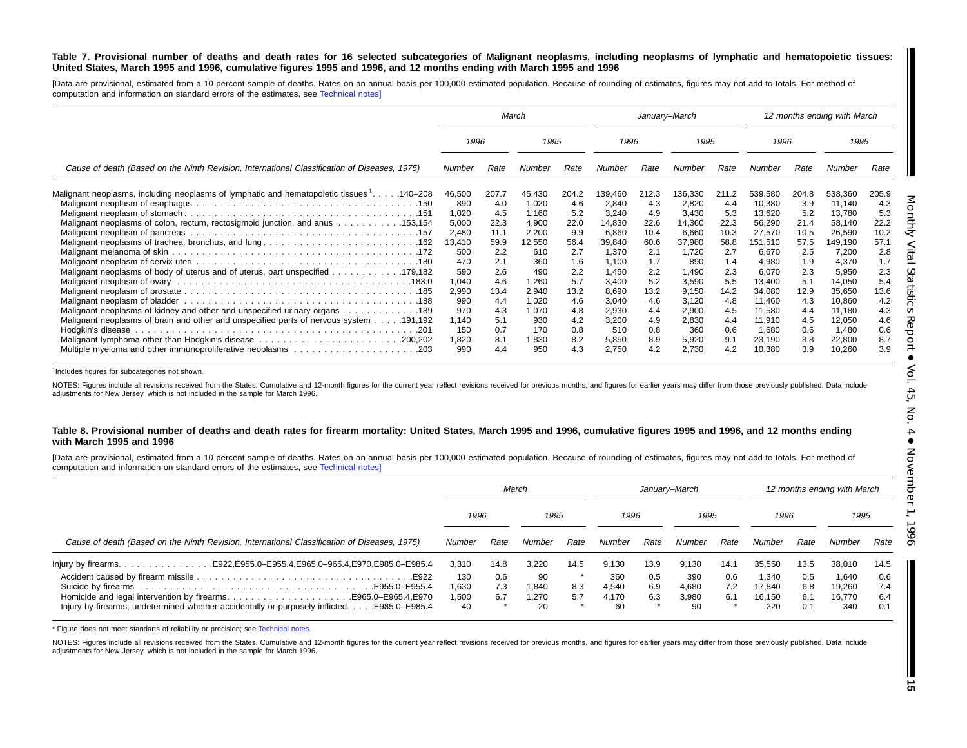### Table 7. Provisional number of deaths and death rates for 16 selected subcategories of Malignant neoplasms, including neoplasms of lymphatic and hematopoietic tissues: United States, March 1995 and 1996, cumulative figures 1995 and 1996, and 12 months ending with March 1995 and 1996

[Data are provisional, estimated from a 10-percent sample of deaths. Rates on an annual basis per 100,000 estimated population. Because of rounding of estimates, figures may not add to totals. For method of computation and information on standard errors of the estimates, see [Technical](#page-16-0) notes]

|                                                                                                                                                                                                                                                                                                                                            |                                                                            |                                                                     | March                                                                        |                                                                     |                                                                                      | January-March                                                       |                                                                                    |                                                                     |                                                                                               |                                                                     | 12 months ending with March                                                                   |                                                                     |
|--------------------------------------------------------------------------------------------------------------------------------------------------------------------------------------------------------------------------------------------------------------------------------------------------------------------------------------------|----------------------------------------------------------------------------|---------------------------------------------------------------------|------------------------------------------------------------------------------|---------------------------------------------------------------------|--------------------------------------------------------------------------------------|---------------------------------------------------------------------|------------------------------------------------------------------------------------|---------------------------------------------------------------------|-----------------------------------------------------------------------------------------------|---------------------------------------------------------------------|-----------------------------------------------------------------------------------------------|---------------------------------------------------------------------|
|                                                                                                                                                                                                                                                                                                                                            | 1996                                                                       |                                                                     | 1995                                                                         |                                                                     | 1996                                                                                 |                                                                     | 1995                                                                               |                                                                     | 1996                                                                                          |                                                                     | 1995                                                                                          |                                                                     |
| Cause of death (Based on the Ninth Revision, International Classification of Diseases, 1975)                                                                                                                                                                                                                                               |                                                                            | Rate                                                                | Number                                                                       | Rate                                                                | Number                                                                               | Rate                                                                | Number                                                                             | Rate                                                                | Number                                                                                        | Rate                                                                | Number                                                                                        | Rate                                                                |
| Malignant neoplasms, including neoplasms of lymphatic and hematopoietic tissues <sup>1</sup> 140–208<br>Malignant neoplasms of colon, rectum, rectosigmoid junction, and anus 153,154                                                                                                                                                      | 46,500<br>890<br>1,020<br>5,000<br>2,480<br>13,410<br>500                  | 207.7<br>4.0<br>4.5<br>22.3<br>11.1<br>59.9<br>2.2                  | 45,430<br>1,020<br>1,160<br>4,900<br>2,200<br>12,550<br>610                  | 204.2<br>4.6<br>5.2<br>22.0<br>9.9<br>56.4<br>2.7                   | 139,460<br>2,840<br>3,240<br>14,830<br>6,860<br>39,840<br>1,370                      | 212.3<br>4.3<br>4.9<br>22.6<br>10.4<br>60.6<br>2.1                  | 136,330<br>2,820<br>3,430<br>14,360<br>6,660<br>37,980<br>1,720                    | 211.2<br>4.4<br>5.3<br>22.3<br>10.3<br>58.8<br>2.7                  | 539,580<br>10,380<br>13,620<br>56,290<br>27,570<br>151,510<br>6,670                           | 204.8<br>3.9<br>5.2<br>21.4<br>10.5<br>57.5<br>2.5                  | 538,360<br>11,140<br>13,780<br>58,140<br>26,590<br>149,190<br>7,200                           | 205.9<br>4.3<br>5.3<br>22.2<br>10.2<br>57.1<br>2.8                  |
| Malignant neoplasms of body of uterus and of uterus, part unspecified 179,182<br>Malignant neoplasms of kidney and other and unspecified urinary organs 189<br>Malignant neoplasms of brain and other and unspecified parts of nervous system 191,192<br>Hodgkin's disease<br>Multiple myeloma and other immunoproliferative neoplasms 203 | 470<br>590<br>1,040<br>2,990<br>990<br>970<br>1,140<br>150<br>1,820<br>990 | 2.1<br>2.6<br>4.6<br>13.4<br>4.4<br>4.3<br>5.1<br>0.7<br>8.1<br>4.4 | 360<br>490<br>1,260<br>2,940<br>1,020<br>1,070<br>930<br>170<br>1,830<br>950 | 1.6<br>2.2<br>5.7<br>13.2<br>4.6<br>4.8<br>4.2<br>0.8<br>8.2<br>4.3 | 1,100<br>1,450<br>3,400<br>8,690<br>3,040<br>2,930<br>3,200<br>510<br>5,850<br>2,750 | 1.7<br>2.2<br>5.2<br>13.2<br>4.6<br>4.4<br>4.9<br>0.8<br>8.9<br>4.2 | 890<br>1,490<br>3,590<br>9,150<br>3,120<br>2,900<br>2,830<br>360<br>5,920<br>2,730 | 1.4<br>2.3<br>5.5<br>14.2<br>4.8<br>4.5<br>4.4<br>0.6<br>9.1<br>4.2 | 4,980<br>6,070<br>13.400<br>34,080<br>11,460<br>11,580<br>11,910<br>1,680<br>23,190<br>10,380 | 1.9<br>2.3<br>5.1<br>12.9<br>4.3<br>4.4<br>4.5<br>0.6<br>8.8<br>3.9 | 4,370<br>5,950<br>14,050<br>35,650<br>10,860<br>11,180<br>12,050<br>1,480<br>22,800<br>10,260 | 1.7<br>2.3<br>5.4<br>13.6<br>4.2<br>4.3<br>4.6<br>0.6<br>8.7<br>3.9 |

<sup>1</sup>Includes figures for subcategories not shown.

NOTES: Figures include all revisions received from the States. Cumulative and 12-month figures for the current year reflect revisions received for previous months, and figures for earlier years may differ from those previo adjustments for New Jersey, which is not included in the sample for March 1996.

### Table 8. Provisional number of deaths and death rates for firearm mortality: United States, March 1995 and 1996, cumulative figures 1995 and 1996, and 12 months ending **with March 1995 and 1996**

[Data are provisional, estimated from a 10-percent sample of deaths. Rates on an annual basis per 100,000 estimated population. Because of rounding of estimates, figures may not add to totals. For method of computation and information on standard errors of the estimates, see [Technical](#page-16-0) notes]

|                                                                                                                                                                       |                             |                   | March                      |            |                             |                   | January–March               |                   |                                  |                                    | 12 months ending with March      |                          |
|-----------------------------------------------------------------------------------------------------------------------------------------------------------------------|-----------------------------|-------------------|----------------------------|------------|-----------------------------|-------------------|-----------------------------|-------------------|----------------------------------|------------------------------------|----------------------------------|--------------------------|
|                                                                                                                                                                       | 1996                        |                   | 1995                       |            | 1996                        |                   | 1995                        |                   | 1996                             |                                    | 1995                             |                          |
| Cause of death (Based on the Ninth Revision, International Classification of Diseases, 1975)                                                                          |                             | Rate              | Number                     | Rate       | Number                      | Rate              | Number                      | Rate              | Number                           | Rate                               | Number                           | Rate                     |
|                                                                                                                                                                       | 3,310                       | 14.8              | 3.220                      | 14.5       | 9.130                       | 13.9              | 9.130                       | 14.1              | 35.550                           | 13.5                               | 38,010                           | 14.5                     |
| E922.<br>Homicide and legal intervention by firearmsE965.0–E965.4.E970<br>Injury by firearms, undetermined whether accidentally or purposely inflicted. E985.0–E985.4 | 130<br>1,630<br>1.500<br>40 | 0.6<br>7.3<br>6.7 | 90<br>1.840<br>1.270<br>20 | 8.3<br>5.7 | 360<br>4.540<br>4.170<br>60 | 0.5<br>6.9<br>6.3 | 390<br>4.680<br>3.980<br>90 | 0.6<br>7.2<br>6.1 | 1.340<br>17.840<br>16.150<br>220 | $0.5^{\circ}$<br>6.8<br>6.1<br>0.1 | 1.640<br>19.260<br>16.770<br>340 | 0.6<br>7.4<br>6.4<br>0.1 |

\* Figure does not meet standarts of reliability or precision; see [Technical](#page-16-0) notes.

NOTES: Figures include all revisions received from the States. Cumulative and 12-month figures for the current year reflect revisions received for previous months, and figures for earlier years may differ from those previo adjustments for New Jersey, which is not included in the sample for March 1996.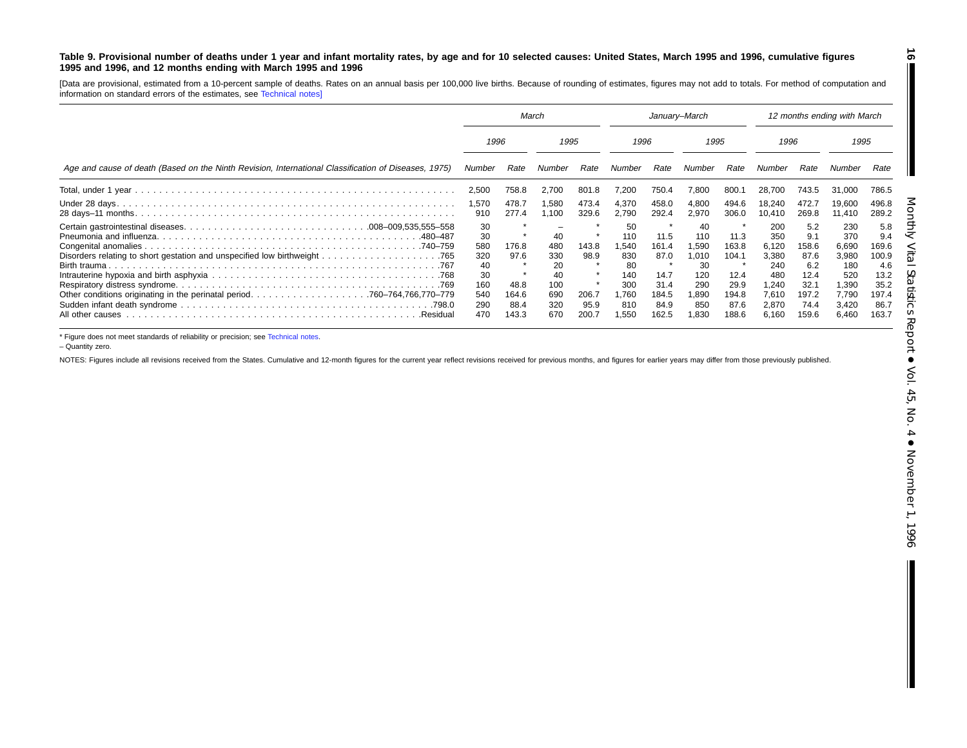### <span id="page-15-0"></span>Table 9. Provisional number of deaths under 1 year and infant mortality rates, by age and for 10 selected causes: United States, March 1995 and 1996, cumulative figures **1995 and 1996, and 12 months ending with March 1995 and 1996**

[Data are provisional, estimated from <sup>a</sup> 10-percent sample of deaths. Rates on an annual basis per 100,000 live births. Because of rounding of estimates, figures may not add to totals. For method of computation and information on standard errors of the estimates, see [Technical](#page-16-0) notes]

|                                                                                                      | March                                                   |                                        |                                                   | January-March                  |                                                             |                                                        |                                                                  | 12 months ending with March                             |                                                                        |                                                                     |                                                                       |                                                                      |
|------------------------------------------------------------------------------------------------------|---------------------------------------------------------|----------------------------------------|---------------------------------------------------|--------------------------------|-------------------------------------------------------------|--------------------------------------------------------|------------------------------------------------------------------|---------------------------------------------------------|------------------------------------------------------------------------|---------------------------------------------------------------------|-----------------------------------------------------------------------|----------------------------------------------------------------------|
|                                                                                                      | 1996                                                    |                                        | 1995                                              |                                | 1996                                                        |                                                        | 1995                                                             |                                                         | 1996                                                                   |                                                                     | 1995                                                                  |                                                                      |
| Age and cause of death (Based on the Ninth Revision, International Classification of Diseases, 1975) | Number                                                  | Rate                                   | Number                                            | Rate                           | Number                                                      | Rate                                                   | Number                                                           | Rate                                                    | Number                                                                 | Rate                                                                | Number                                                                | Rate                                                                 |
|                                                                                                      | 2,500                                                   | 758.8                                  | 2,700                                             | 801.8                          | 200.'                                                       | 750.4                                                  | 7,800                                                            | 800.1                                                   | 28.700                                                                 | 743.5                                                               | 31.000                                                                | 786.5                                                                |
|                                                                                                      | 1,570<br>910                                            | 478.7<br>277.4                         | 1,580<br>1,100                                    | 473.4<br>329.6                 | 4,370<br>2,790                                              | 458.0<br>292.4                                         | 4,800<br>2,970                                                   | 494.6<br>306.0                                          | 18,240<br>10.410                                                       | 472.7<br>269.8                                                      | 19.600<br>11,410                                                      | 496.8<br>289.2                                                       |
| 480–487                                                                                              | 30<br>30<br>580<br>320<br>40<br>30<br>160<br>540<br>290 | 176.8<br>97.6<br>48.8<br>164.6<br>88.4 | 40<br>480<br>330<br>20<br>40<br>100<br>690<br>320 | 143.8<br>98.9<br>206.7<br>95.9 | 50<br>110<br>.540<br>830<br>80<br>140<br>300<br>.760<br>810 | 11.5<br>161.4<br>87.0<br>14.7<br>31.4<br>184.5<br>84.9 | 40<br>110<br>1,590<br>1,010<br>30<br>120<br>290<br>890. ا<br>850 | 11.3<br>163.8<br>104.1<br>12.4<br>29.9<br>194.8<br>87.6 | 200<br>350<br>6,120<br>3,380<br>240<br>480<br>240. ا<br>7.610<br>2,870 | 5.2<br>9.1<br>158.6<br>87.6<br>6.2<br>12.4<br>32.7<br>197.2<br>74.4 | 230<br>370<br>6,690<br>3,980<br>180<br>520<br>1,390<br>7,790<br>3,420 | 5.8<br>9.4<br>169.6<br>100.9<br>4.6<br>13.2<br>35.2<br>197.4<br>86.7 |
| All other causes<br>.Residual                                                                        | 470                                                     | 143.3                                  | 670                                               | 200.7                          | .550                                                        | 162.5                                                  | 1,830                                                            | 188.6                                                   | 6,160                                                                  | 159.6                                                               | 6,460                                                                 | 163.7                                                                |

\* Figure does not meet standards of reliability or precision; see [Technical](#page-16-0) notes.

– Quantity zero.

NOTES: Figures include all revisions received from the States. Cumulative and 12-month figures for the current year reflect revisions received for previous months, and figures for earlier years may differ from those previo

**16**

H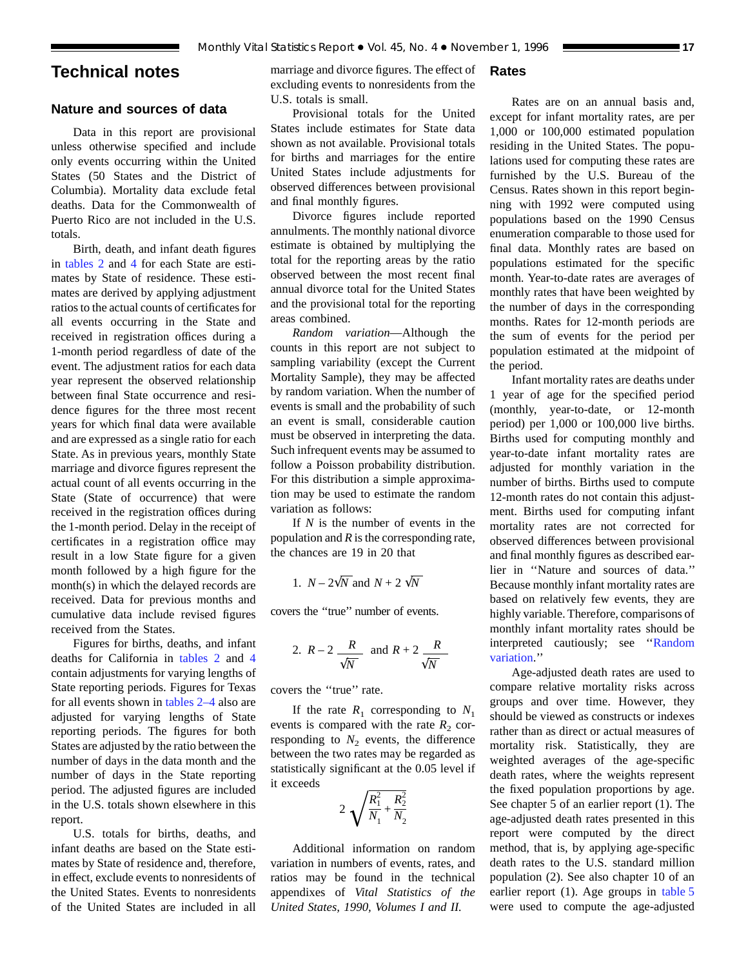# <span id="page-16-0"></span>**Technical notes**

# **Nature and sources of data**

Data in this report are provisional unless otherwise specified and include only events occurring within the United States (50 States and the District of Columbia). Mortality data exclude fetal deaths. Data for the Commonwealth of Puerto Rico are not included in the U.S. totals.

Birth, death, and infant death figures in [tables 2](#page-6-0) and [4](#page-8-0) for each State are estimates by State of residence. These estimates are derived by applying adjustment ratios to the actual counts of certificates for all events occurring in the State and received in registration offices during a 1-month period regardless of date of the event. The adjustment ratios for each data year represent the observed relationship between final State occurrence and residence figures for the three most recent years for which final data were available and are expressed as a single ratio for each State. As in previous years, monthly State marriage and divorce figures represent the actual count of all events occurring in the State (State of occurrence) that were received in the registration offices during the 1-month period. Delay in the receipt of certificates in a registration office may result in a low State figure for a given month followed by a high figure for the month(s) in which the delayed records are received. Data for previous months and cumulative data include revised figures received from the States.

Figures for births, deaths, and infant deaths for California in [tables 2](#page-6-0) and [4](#page-8-0) contain adjustments for varying lengths of State reporting periods. Figures for Texas for all events shown in [tables 2–4](#page-6-0) also are adjusted for varying lengths of State reporting periods. The figures for both States are adjusted by the ratio between the number of days in the data month and the number of days in the State reporting period. The adjusted figures are included in the U.S. totals shown elsewhere in this report.

U.S. totals for births, deaths, and infant deaths are based on the State estimates by State of residence and, therefore, in effect, exclude events to nonresidents of the United States. Events to nonresidents of the United States are included in all

marriage and divorce figures. The effect of excluding events to nonresidents from the U.S. totals is small.

# Provisional totals for the United States include estimates for State data shown as not available. Provisional totals for births and marriages for the entire United States include adjustments for observed differences between provisional and final monthly figures.

Divorce figures include reported annulments. The monthly national divorce estimate is obtained by multiplying the total for the reporting areas by the ratio observed between the most recent final annual divorce total for the United States and the provisional total for the reporting areas combined.

*Random variation*—Although the counts in this report are not subject to sampling variability (except the Current Mortality Sample), they may be affected by random variation. When the number of events is small and the probability of such an event is small, considerable caution must be observed in interpreting the data. Such infrequent events may be assumed to follow a Poisson probability distribution. For this distribution a simple approximation may be used to estimate the random variation as follows:

If *N* is the number of events in the population and *R* is the corresponding rate, the chances are 19 in 20 that

1. 
$$
N - 2\sqrt{N}
$$
 and  $N + 2\sqrt{N}$ 

covers the ''true'' number of events.

2. 
$$
R-2
$$
  $\frac{R}{\sqrt{N}}$  and  $R+2$   $\frac{R}{\sqrt{N}}$ 

covers the ''true'' rate.

If the rate  $R_1$  corresponding to  $N_1$ events is compared with the rate  $R_2$  corresponding to  $N_2$  events, the difference between the two rates may be regarded as statistically significant at the 0.05 level if it exceeds

$$
2\sqrt{\frac{R_1^2}{N_1} + \frac{R_2^2}{N_2}}
$$

Additional information on random variation in numbers of events, rates, and ratios may be found in the technical appendixes of *Vital Statistics of the United States, 1990, Volumes I and II.*

# **Rates**

Rates are on an annual basis and, except for infant mortality rates, are per 1,000 or 100,000 estimated population residing in the United States. The populations used for computing these rates are furnished by the U.S. Bureau of the Census. Rates shown in this report beginning with 1992 were computed using populations based on the 1990 Census enumeration comparable to those used for final data. Monthly rates are based on populations estimated for the specific month. Year-to-date rates are averages of monthly rates that have been weighted by the number of days in the corresponding months. Rates for 12-month periods are the sum of events for the period per population estimated at the midpoint of the period.

Infant mortality rates are deaths under 1 year of age for the specified period (monthly, year-to-date, or 12-month period) per 1,000 or 100,000 live births. Births used for computing monthly and year-to-date infant mortality rates are adjusted for monthly variation in the number of births. Births used to compute 12-month rates do not contain this adjustment. Births used for computing infant mortality rates are not corrected for observed differences between provisional and final monthly figures as described earlier in ''Nature and sources of data.'' Because monthly infant mortality rates are based on relatively few events, they are highly variable. Therefore, comparisons of monthly infant mortality rates should be interpreted cautiously; see ''Random variation.''

Age-adjusted death rates are used to compare relative mortality risks across groups and over time. However, they should be viewed as constructs or indexes rather than as direct or actual measures of mortality risk. Statistically, they are weighted averages of the age-specific death rates, where the weights represent the fixed population proportions by age. See chapter 5 of an earlier report (1). The age-adjusted death rates presented in this report were computed by the direct method, that is, by applying age-specific death rates to the U.S. standard million population (2). See also chapter 10 of an earlier report (1). Age groups in [table 5](#page-9-0) were used to compute the age-adjusted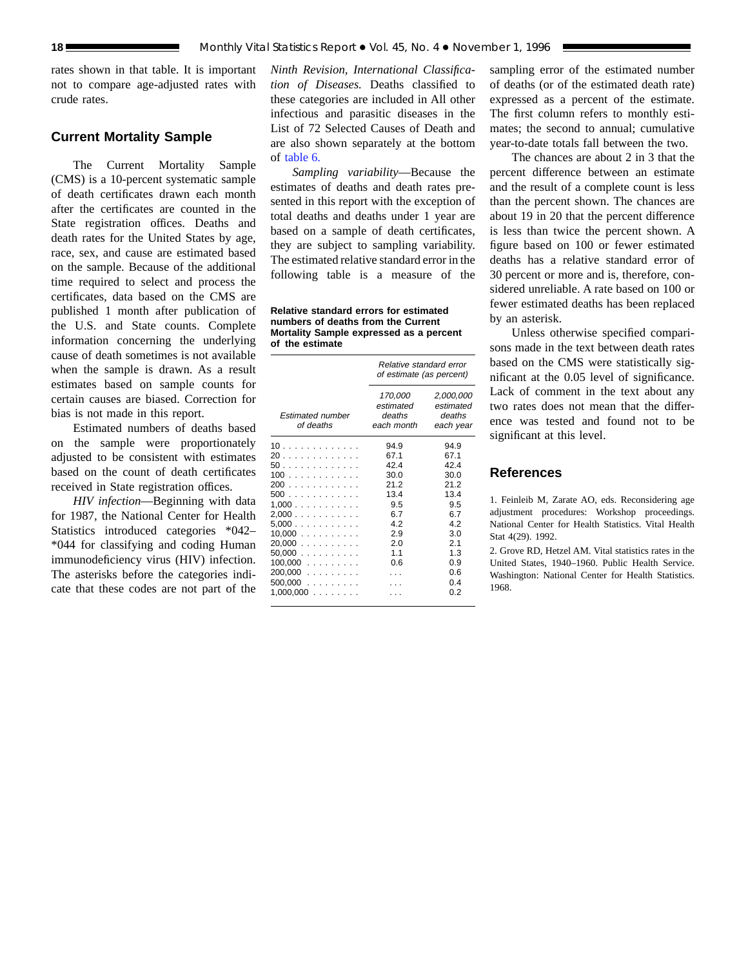rates shown in that table. It is important not to compare age-adjusted rates with crude rates.

# **Current Mortality Sample**

The Current Mortality Sample (CMS) is a 10-percent systematic sample of death certificates drawn each month after the certificates are counted in the State registration offices. Deaths and death rates for the United States by age, race, sex, and cause are estimated based on the sample. Because of the additional time required to select and process the certificates, data based on the CMS are published 1 month after publication of the U.S. and State counts. Complete information concerning the underlying cause of death sometimes is not available when the sample is drawn. As a result estimates based on sample counts for certain causes are biased. Correction for bias is not made in this report.

Estimated numbers of deaths based on the sample were proportionately adjusted to be consistent with estimates based on the count of death certificates received in State registration offices.

*HIV infection*—Beginning with data for 1987, the National Center for Health Statistics introduced categories \*042– \*044 for classifying and coding Human immunodeficiency virus (HIV) infection. The asterisks before the categories indicate that these codes are not part of the

*Ninth Revision, International Classification of Diseases.* Deaths classified to these categories are included in All other infectious and parasitic diseases in the List of 72 Selected Causes of Death and are also shown separately at the bottom of [table 6.](#page-12-0)

*Sampling variability*—Because the estimates of deaths and death rates presented in this report with the exception of total deaths and deaths under 1 year are based on a sample of death certificates, they are subject to sampling variability. The estimated relative standard error in the following table is a measure of the

**Relative standard errors for estimated numbers of deaths from the Current Mortality Sample expressed as a percent of the estimate**

|                                                                                                                         | Relative standard error<br>of estimate (as percent)                                         |                                                                                                    |  |  |
|-------------------------------------------------------------------------------------------------------------------------|---------------------------------------------------------------------------------------------|----------------------------------------------------------------------------------------------------|--|--|
| <b>Estimated number</b><br>of deaths                                                                                    | 170,000<br>estimated<br>deaths<br>each month                                                | 2,000,000<br>estimated<br>deaths<br>each year                                                      |  |  |
| 10<br>20<br>50.<br>100<br>200<br>500<br>1.000<br>2,000<br>5,000<br>10,000<br>20,000<br>50.000<br>$100,000$<br>$200,000$ | 94.9<br>67.1<br>424<br>30.0<br>212<br>13.4<br>9.5<br>6.7<br>4.2<br>2.9<br>2.0<br>1.1<br>0.6 | 94.9<br>67.1<br>424<br>30.0<br>21.2<br>13.4<br>9.5<br>6.7<br>42<br>3.0<br>2.1<br>1.3<br>0.9<br>0.6 |  |  |
| $500,000$<br>$1,000,000$                                                                                                |                                                                                             | 04<br>0 2                                                                                          |  |  |

sampling error of the estimated number of deaths (or of the estimated death rate) expressed as a percent of the estimate. The first column refers to monthly estimates; the second to annual; cumulative year-to-date totals fall between the two.

The chances are about 2 in 3 that the percent difference between an estimate and the result of a complete count is less than the percent shown. The chances are about 19 in 20 that the percent difference is less than twice the percent shown. A figure based on 100 or fewer estimated deaths has a relative standard error of 30 percent or more and is, therefore, considered unreliable. A rate based on 100 or fewer estimated deaths has been replaced by an asterisk.

Unless otherwise specified comparisons made in the text between death rates based on the CMS were statistically significant at the 0.05 level of significance. Lack of comment in the text about any two rates does not mean that the difference was tested and found not to be significant at this level.

# **References**

1. Feinleib M, Zarate AO, eds. Reconsidering age adjustment procedures: Workshop proceedings. National Center for Health Statistics. Vital Health Stat 4(29). 1992.

2. Grove RD, Hetzel AM. Vital statistics rates in the United States, 1940–1960. Public Health Service. Washington: National Center for Health Statistics. 1968.